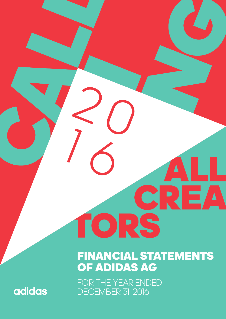# FINANCIAL STATEMENTS OF ADIDAS AG

CREA

FOR THE YEAR ENDED DECEMBER 31, 2016

TORS

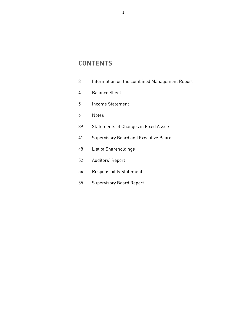# **CONTENTS**

| 3 |  |  |  | Information on the combined Management Report |  |
|---|--|--|--|-----------------------------------------------|--|
|---|--|--|--|-----------------------------------------------|--|

- 4 Balance Sheet
- 5 Income Statement
- 6 Notes
- 39 Statements of Changes in Fixed Assets
- 41 Supervisory Board and Executive Board
- 48 List of Shareholdings
- 52 Auditors' Report
- 54 Responsibility Statement
- 55 Supervisory Board Report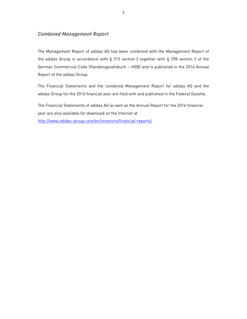# *Combined Management Report*

The Management Report of adidas AG has been combined with the Management Report of the adidas Group in accordance with § 315 section 3 together with § 298 section 3 of the German Commercial Code (Handelsgesetzbuch – HGB) and is published in the 2016 Annual Report of the adidas Group.

The Financial Statements and the combined Management Report for adidas AG and the adidas Group for the 2016 financial year are filed with and published in the Federal Gazette.

The Financial Statements of adidas AG as well as the Annual Report for the 2016 financial year are also available for download on the Internet at http://www.adidas-group.com/en/investors/financial-reports/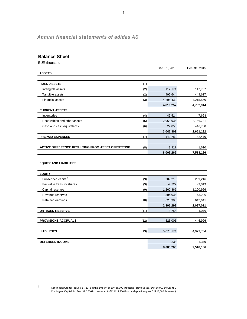# *Annual financial statements of adidas AG*

# **Balance Sheet**

EUR thousand

1

|                                                          |      | Dec. 31, 2016 | Dec. 31, 2015 |
|----------------------------------------------------------|------|---------------|---------------|
| <b>ASSETS</b>                                            |      |               |               |
|                                                          |      |               |               |
| <b>FIXED ASSETS</b>                                      | (1)  |               |               |
| Intangible assets                                        | (2)  | 112,174       | 117,737       |
| Tangible assets                                          | (2)  | 492,644       | 449,617       |
| <b>Financial assets</b>                                  | (3)  | 4,205,439     | 4,215,560     |
|                                                          |      | 4,810,257     | 4,782,914     |
| <b>CURRENT ASSETS</b>                                    |      |               |               |
| Inventories                                              | (4)  | 49,514        | 47,693        |
| Receivables and other assets                             | (5)  | 2,968,936     | 2,156,731     |
| Cash and cash equivalents                                | (6)  | 27,853        | 446,768       |
|                                                          |      | 3,046,303     | 2,651,192     |
| <b>PREPAID EXPENSES</b>                                  | (7)  | 142,789       | 82,470        |
| <b>ACTIVE DIFFERENCE RESULTING FROM ASSET OFFSETTING</b> | (8)  | 3,917         | 1,610         |
|                                                          |      | 8,003,266     | 7,518,186     |
|                                                          |      |               |               |
| <b>EQUITY AND LIABILITIES</b>                            |      |               |               |
|                                                          |      |               |               |
| <b>EQUITY</b>                                            |      |               |               |
| Subscribed capital <sup>1</sup>                          | (9)  | 209,216       | 209,216       |
| Par value treasury shares                                | (9)  | $-7,727$      | $-9,019$      |
| Capital reserves                                         | (9)  | 1,260,865     | 1,200,966     |
| Revenue reserves                                         |      | 304,036       | 43,206        |
| Retained earnings                                        | (10) | 628,908       | 642,641       |
|                                                          |      | 2,395,298     | 2,087,011     |
| <b>UNTAXED RESERVE</b>                                   | (11) | 3,754         | 4,076         |
|                                                          |      |               |               |
| <b>PROVISIONS/ACCRUALS</b>                               | (12) | 525,005       | 445,996       |
| <b>LIABILITIES</b>                                       | (13) | 5,078,174     | 4,979,754     |
|                                                          |      |               |               |
| <b>DEFERRED INCOME</b>                                   |      | 835           | 1,349         |
|                                                          |      | 8,003,266     | 7,518,186     |

<sup>&</sup>lt;sup>1</sup> Contingent Capital I at Dec. 31, 2016 in the amount of EUR 36,000 thousand (previous year EUR 36,000 thousand). Contingent Capital II at Dec. 31, 2016 in the amount of EUR 12,500 thousand (previous year EUR 12,500 thousand).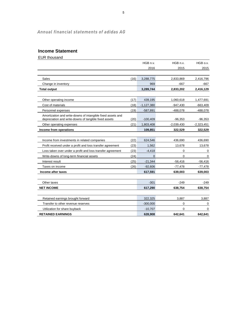# *Annual financial statements of adidas AG*

# **Income Statement**

EUR thousand

|                                                                                                                      |      | HGB n.v.     | HGB n.v.     | HGB o.v.     |
|----------------------------------------------------------------------------------------------------------------------|------|--------------|--------------|--------------|
|                                                                                                                      |      | 2016         | 2015         | 2015         |
|                                                                                                                      |      |              |              |              |
| Sales                                                                                                                | (16) | 3,288,775    | 2,833,869    | 2,416,796    |
| Change in inventory                                                                                                  |      | 969          | -667         | -667         |
| <b>Total output</b>                                                                                                  |      | 3,289,744    | 2,833,202    | 2,416,129    |
|                                                                                                                      |      |              |              |              |
| Other operating income                                                                                               | (17) | 439,195      | 1,060,618    | 1,477,691    |
| Cost of materials                                                                                                    | (18) | $-1,127,380$ | $-947,430$   | $-663,409$   |
| Personnel expenses                                                                                                   | (19) | $-587,891$   | $-488,078$   | $-488,078$   |
| Amortization and write-downs of intangible fixed assets and<br>depreciation and write-downs of tangible fixed assets | (20) | $-100,409$   | $-96,353$    | $-96,353$    |
| Other operating expenses                                                                                             | (21) | 1,803,408    | $-2,039,430$ | $-2,323,451$ |
| Income from operations                                                                                               |      | 109,851      | 322,529      | 322,529      |
|                                                                                                                      |      |              |              |              |
| Income from investments in related companies                                                                         | (22) | 624,546      | 436,690      | 436,690      |
| Profit received under a profit and loss transfer agreement                                                           | (23) | 1,562        | 13,678       | 13,678       |
| Loss taken over under a profit and loss transfer agreement                                                           | (23) | $-4,418$     | $\Omega$     | 0            |
| Write-downs of long-term financial assets                                                                            | (24) | $\mathbf{0}$ | $\mathbf 0$  | 0            |
| Interest result                                                                                                      | (25) | $-21,344$    | $-56,416$    | $-56,416$    |
| Taxes on income                                                                                                      | (26) | $-92,606$    | $-77,478$    | $-77,478$    |
| Income after taxes                                                                                                   |      | 617,591      | 639,003      | 639,003      |
|                                                                                                                      |      |              |              |              |
| Other taxes                                                                                                          |      | $-301$       | $-249$       | -249         |
| <b>NET INCOME</b>                                                                                                    |      | 617,290      | 638,754      | 638,754      |
|                                                                                                                      |      |              |              |              |
| Retained earnings brought forward                                                                                    |      | 322,325      | 3,887        | 3,887        |
| Transfer to other revenue reserves                                                                                   |      | $-300,000$   | 0            | 0            |
| Utilization for share buyback                                                                                        |      | $-10,707$    | $\Omega$     | 0            |
| <b>RETAINED EARNINGS</b>                                                                                             |      | 628,908      | 642,641      | 642,641      |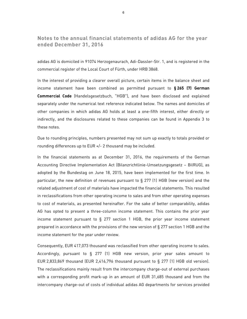**Notes to the annual financial statements of adidas AG for the year ended December 31, 2016** 

adidas AG is domiciled in 91074 Herzogenaurach, Adi-Dassler-Str. 1, and is registered in the commercial register of the Local Court of Fürth, under HRB 3868.

In the interest of providing a clearer overall picture, certain items in the balance sheet and income statement have been combined as permitted pursuant to **§ 265 (7) German Commercial Code** (Handelsgesetzbuch, "HGB"), and have been disclosed and explained separately under the numerical text reference indicated below. The names and domiciles of other companies in which adidas AG holds at least a one-fifth interest, either directly or indirectly, and the disclosures related to these companies can be found in Appendix 3 to these notes.

Due to rounding principles, numbers presented may not sum up exactly to totals provided or rounding differences up to EUR +/- 2 thousand may be included.

In the financial statements as at December 31, 2016, the requirements of the German Accounting Directive Implementation Act (Bilanzrichtlinie-Umsetzungsgesetz – BilRUG), as adopted by the Bundestag on June 18, 2015, have been implemented for the first time. In particular, the new definition of revenues pursuant to  $\S 277$  (1) HGB (new version) and the related adjustment of cost of materials have impacted the financial statements. This resulted in reclassifications from other operating income to sales and from other operating expenses to cost of materials, as presented hereinafter. For the sake of better comparability, adidas AG has opted to present a three-column income statement. This contains the prior year income statement pursuant to § 277 section 1 HGB, the prior year income statement prepared in accordance with the provisions of the new version of § 277 section 1 HGB and the income statement for the year under review.

Consequently, EUR 417,073 thousand was reclassified from other operating income to sales. Accordingly, pursuant to § 277 (1) HGB new version, prior year sales amount to EUR 2,833,869 thousand (EUR 2,416,796 thousand pursuant to § 277 (1) HGB old version). The reclassifications mainly result from the intercompany charge-out of external purchases with a corresponding profit mark-up in an amount of EUR 31,685 thousand and from the intercompany charge-out of costs of individual adidas AG departments for services provided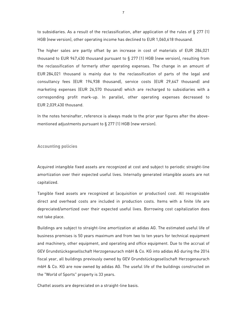to subsidiaries. As a result of the reclassification, after application of the rules of § 277 (1) HGB (new version), other operating income has declined to EUR 1,060,618 thousand.

The higher sales are partly offset by an increase in cost of materials of EUR 284,021 thousand to EUR 947,430 thousand pursuant to § 277 (1) HGB (new version), resulting from the reclassification of formerly other operating expenses. The change in an amount of EUR 284,021 thousand is mainly due to the reclassification of parts of the legal and consultancy fees (EUR 194,938 thousand), service costs (EUR 29,647 thousand) and marketing expenses (EUR 26,570 thousand) which are recharged to subsidiaries with a corresponding profit mark-up. In parallel, other operating expenses decreased to EUR 2,039,430 thousand.

In the notes hereinafter, reference is always made to the prior year figures after the abovementioned adjustments pursuant to § 277 (1) HGB (new version).

**Accounting policies** 

Acquired intangible fixed assets are recognized at cost and subject to periodic straight-line amortization over their expected useful lives. Internally generated intangible assets are not capitalized.

Tangible fixed assets are recognized at (acquisition or production) cost. All recognizable direct and overhead costs are included in production costs. Items with a finite life are depreciated/amortized over their expected useful lives. Borrowing cost capitalization does not take place.

Buildings are subject to straight-line amortization at adidas AG. The estimated useful life of business premises is 50 years maximum and from two to ten years for technical equipment and machinery, other equipment, and operating and office equipment. Due to the accrual of GEV Grundstücksgesellschaft Herzogenaurach mbH & Co. KG into adidas AG during the 2014 fiscal year, all buildings previously owned by GEV Grundstücksgesellschaft Herzogenaurach mbH & Co. KG are now owned by adidas AG. The useful life of the buildings constructed on the "World of Sports" property is 33 years.

Chattel assets are depreciated on a straight-line basis.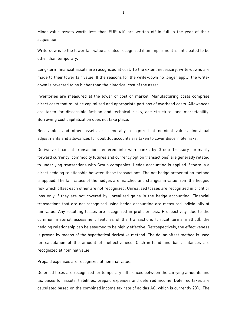Minor-value assets worth less than EUR 410 are written off in full in the year of their acquisition.

Write-downs to the lower fair value are also recognized if an impairment is anticipated to be other than temporary.

Long-term financial assets are recognized at cost. To the extent necessary, write-downs are made to their lower fair value. If the reasons for the write-down no longer apply, the writedown is reversed to no higher than the historical cost of the asset.

Inventories are measured at the lower of cost or market. Manufacturing costs comprise direct costs that must be capitalized and appropriate portions of overhead costs. Allowances are taken for discernible fashion and technical risks, age structure, and marketability. Borrowing cost capitalization does not take place.

Receivables and other assets are generally recognized at nominal values. Individual adjustments and allowances for doubtful accounts are taken to cover discernible risks.

Derivative financial transactions entered into with banks by Group Treasury (primarily forward currency, commodity futures and currency option transactions) are generally related to underlying transactions with Group companies. Hedge accounting is applied if there is a direct hedging relationship between these transactions. The net hedge presentation method is applied. The fair values of the hedges are matched and changes in value from the hedged risk which offset each other are not recognized. Unrealized losses are recognized in profit or loss only if they are not covered by unrealized gains in the hedge accounting. Financial transactions that are not recognized using hedge accounting are measured individually at fair value. Any resulting losses are recognized in profit or loss. Prospectively, due to the common material assessment features of the transactions (critical terms method), the hedging relationship can be assumed to be highly effective. Retrospectively, the effectiveness is proven by means of the hypothetical derivative method. The dollar-offset method is used for calculation of the amount of ineffectiveness. Cash-in-hand and bank balances are recognized at nominal value.

Prepaid expenses are recognized at nominal value.

Deferred taxes are recognized for temporary differences between the carrying amounts and tax bases for assets, liabilities, prepaid expenses and deferred income. Deferred taxes are calculated based on the combined income tax rate of adidas AG, which is currently 28%. The

8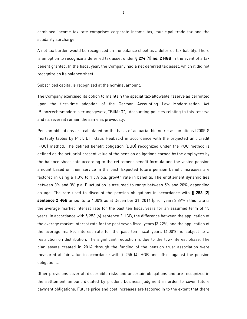combined income tax rate comprises corporate income tax, municipal trade tax and the solidarity surcharge.

A net tax burden would be recognized on the balance sheet as a deferred tax liability. There is an option to recognize a deferred tax asset under **§ 274 (1) no. 2 HGB** in the event of a tax benefit granted. In the fiscal year, the Company had a net deferred tax asset, which it did not recognize on its balance sheet.

Subscribed capital is recognized at the nominal amount.

The Company exercised its option to maintain the special tax-allowable reserve as permitted upon the first-time adoption of the German Accounting Law Modernization Act (Bilanzrechtsmodernisierungsgesetz, "BilMoG"). Accounting policies relating to this reserve and its reversal remain the same as previously.

Pension obligations are calculated on the basis of actuarial biometric assumptions (2005 G mortality tables by Prof. Dr. Klaus Heubeck) in accordance with the projected unit credit (PUC) method. The defined benefit obligation (DBO) recognized under the PUC method is defined as the actuarial present value of the pension obligations earned by the employees by the balance sheet date according to the retirement benefit formula and the vested pension amount based on their service in the past. Expected future pension benefit increases are factored in using a 1.0% to 1.5% p.a. growth rate in benefits. The entitlement dynamic lies between 0% and 3% p.a. Fluctuation is assumed to range between 5% and 20%, depending on age. The rate used to discount the pension obligations in accordance with **§ 253 (2) sentence 2 HGB** amounts to 4.00% as at December 31, 2016 (prior year: 3.89%); this rate is the average market interest rate for the past ten fiscal years for an assumed term of 15 years. In accordance with § 253 (6) sentence 2 HGB, the difference between the application of the average market interest rate for the past seven fiscal years (3.22%) and the application of the average market interest rate for the past ten fiscal years (4.00%) is subject to a restriction on distribution. The significant reduction is due to the low-interest phase. The plan assets created in 2014 through the funding of the pension trust association were measured at fair value in accordance with § 255 (4) HGB and offset against the pension obligations.

Other provisions cover all discernible risks and uncertain obligations and are recognized in the settlement amount dictated by prudent business judgment in order to cover future payment obligations. Future price and cost increases are factored in to the extent that there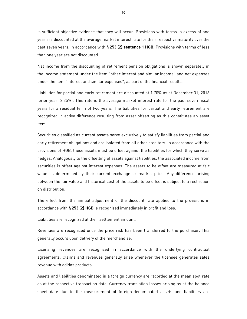is sufficient objective evidence that they will occur. Provisions with terms in excess of one year are discounted at the average market interest rate for their respective maturity over the past seven years, in accordance with **§ 253 (2) sentence 1 HGB**. Provisions with terms of less than one year are not discounted.

Net income from the discounting of retirement pension obligations is shown separately in the income statement under the item "other interest and similar income" and net expenses under the item "interest and similar expenses", as part of the financial results.

Liabilities for partial and early retirement are discounted at 1.70% as at December 31, 2016 (prior year: 2.35%). This rate is the average market interest rate for the past seven fiscal years for a residual term of two years. The liabilities for partial and early retirement are recognized in active difference resulting from asset offsetting as this constitutes an asset item.

Securities classified as current assets serve exclusively to satisfy liabilities from partial and early retirement obligations and are isolated from all other creditors. In accordance with the provisions of HGB, these assets must be offset against the liabilities for which they serve as hedges. Analogously to the offsetting of assets against liabilities, the associated income from securities is offset against interest expenses. The assets to be offset are measured at fair value as determined by their current exchange or market price. Any difference arising between the fair value and historical cost of the assets to be offset is subject to a restriction on distribution.

The effect from the annual adjustment of the discount rate applied to the provisions in accordance with **§ 253 (2) HGB** is recognized immediately in profit and loss.

Liabilities are recognized at their settlement amount.

Revenues are recognized once the price risk has been transferred to the purchaser. This generally occurs upon delivery of the merchandise.

Licensing revenues are recognized in accordance with the underlying contractual agreements. Claims and revenues generally arise whenever the licensee generates sales revenue with adidas products.

Assets and liabilities denominated in a foreign currency are recorded at the mean spot rate as at the respective transaction date. Currency translation losses arising as at the balance sheet date due to the measurement of foreign-denominated assets and liabilities are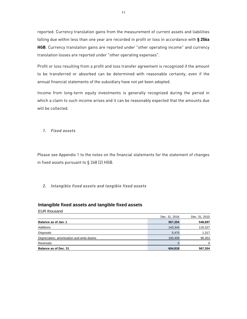reported. Currency translation gains from the measurement of current assets and liabilities falling due within less than one year are recorded in profit or loss in accordance with **§ 256a HGB**. Currency translation gains are reported under "other operating income" and currency translation losses are reported under "other operating expenses".

Profit or loss resulting from a profit and loss transfer agreement is recognized if the amount to be transferred or absorbed can be determined with reasonable certainty, even if the annual financial statements of the subsidiary have not yet been adopted.

Income from long-term equity investments is generally recognized during the period in which a claim to such income arises and it can be reasonably expected that the amounts due will be collected.

*1. Fixed assets* 

Please see Appendix 1 to the notes on the financial statements for the statement of changes in fixed assets pursuant to § 268 (2) HGB.

### *2. Intangible fixed assets and tangible fixed assets*

#### **Intangible fixed assets and tangible fixed assets**

EUR thousand

|                                            | Dec. 31, 2016 | Dec. 31, 2015 |
|--------------------------------------------|---------------|---------------|
| Balance as of Jan. 1                       | 567,354       | 548,697       |
| Additions                                  | 143,343       | 116,327       |
| <b>Disposals</b>                           | 5,470         | 1,317         |
| Depreciation, amortization and write-downs | 100,409       | 96,353        |
| Reversals                                  |               | $\Omega$      |
| Balance as of Dec. 31                      | 604,818       | 567,354       |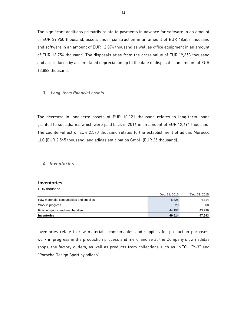The significant additions primarily relate to payments in advance for software in an amount of EUR 39,950 thousand, assets under construction in an amount of EUR 48,653 thousand and software in an amount of EUR 12,874 thousand as well as office equipment in an amount of EUR 13,756 thousand. The disposals arise from the gross value of EUR 19,353 thousand and are reduced by accumulated depreciation up to the date of disposal in an amount of EUR 13,883 thousand.

### *3. Long-term financial assets*

The decrease in long-term assets of EUR 10,121 thousand relates to long-term loans granted to subsidiaries which were paid back in 2016 in an amount of EUR 12,691 thousand. The counter-effect of EUR 2,570 thousand relates to the establishment of adidas Morocco LLC (EUR 2,545 thousand) and adidas anticipation GmbH (EUR 25 thousand).

### *4. Inventories*

### **Inventories**  EUR thousand

|                                         | Dec. 31, 2016 | Dec. 31, 2015 |
|-----------------------------------------|---------------|---------------|
| Raw materials, consumables and supplies | 5,328         | 4,314         |
| Work in progress                        | 29            | 80            |
| Finished goods and merchandise          | 44.157        | 43,299        |
| Inventories                             | 49,514        | 47,693        |

Inventories relate to raw materials, consumables and supplies for production purposes, work in progress in the production process and merchandise at the Company's own adidas shops, the factory outlets, as well as products from collections such as "NEO", "Y-3" and "Porsche Design Sport by adidas".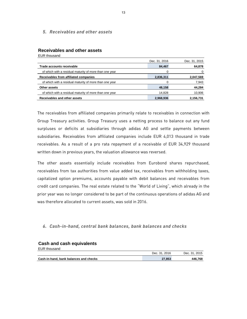*5. Receivables and other assets* 

#### **Receivables and other assets**

EUR thousand

| LUI TIUTUUTI                                            |               |               |
|---------------------------------------------------------|---------------|---------------|
|                                                         | Dec. 31, 2016 | Dec. 31, 2015 |
| Trade accounts receivable                               | 84,467        | 64,878        |
| of which with a residual maturity of more than one year | 0             | 0             |
| Receivables from affiliated companies                   | 2,836,311     | 2,047,569     |
| of which with a residual maturity of more than one year | 0             | 7,943         |
| Other assets                                            | 48.158        | 44,284        |
| of which with a residual maturity of more than one year | 14.828        | 10,906        |
| Receivables and other assets                            | 2,968,936     | 2,156,731     |

The receivables from affiliated companies primarily relate to receivables in connection with Group Treasury activities. Group Treasury uses a netting process to balance out any fund surpluses or deficits at subsidiaries through adidas AG and settle payments between subsidiaries. Receivables from affiliated companies include EUR 4,013 thousand in trade receivables. As a result of a pro rata repayment of a receivable of EUR 34,929 thousand written down in previous years, the valuation allowance was reversed.

The other assets essentially include receivables from Eurobond shares repurchased, receivables from tax authorities from value added tax, receivables from withholding taxes, capitalized option premiums, accounts payable with debit balances and receivables from credit card companies. The real estate related to the "World of Living", which already in the prior year was no longer considered to be part of the continuous operations of adidas AG and was therefore allocated to current assets, was sold in 2016.

#### *6. Cash-in-hand, central bank balances, bank balances and checks*

#### **Cash and cash equivalents**

EUR thousand

|                                        | Dec. 31, 2016 | Dec. 31, 2015 |
|----------------------------------------|---------------|---------------|
| Cash-in-hand, bank balances and checks | 27.853        | 446.768       |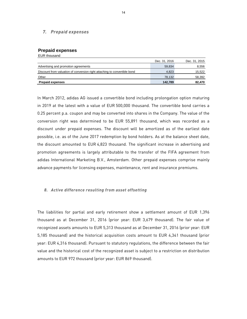### *7. Prepaid expenses*

### **Prepaid expenses**

EUR thousand

|                                                                           | Dec. 31, 2016 | Dec. 31, 2015 |
|---------------------------------------------------------------------------|---------------|---------------|
| Advertising and promotion agreements                                      | 59.834        | 8,556         |
| Discount from valuation of conversion right attaching to convertible bond | 4.823         | 15,522        |
| Other                                                                     | 78.132        | 58,392        |
| <b>Prepaid expenses</b>                                                   | 142.789       | 82.470        |

In March 2012, adidas AG issued a convertible bond including prolongation option maturing in 2019 at the latest with a value of EUR 500,000 thousand. The convertible bond carries a 0.25 percent p.a. coupon and may be converted into shares in the Company. The value of the conversion right was determined to be EUR 55,891 thousand, which was recorded as a discount under prepaid expenses. The discount will be amortized as of the earliest date possible, i.e. as of the June 2017 redemption by bond holders. As at the balance sheet date, the discount amounted to EUR 4,823 thousand. The significant increase in advertising and promotion agreements is largely attributable to the transfer of the FIFA agreement from adidas International Marketing B.V., Amsterdam. Other prepaid expenses comprise mainly advance payments for licensing expenses, maintenance, rent and insurance premiums.

#### *8. Active difference resulting from asset offsetting*

The liabilities for partial and early retirement show a settlement amount of EUR 1,396 thousand as at December 31, 2016 (prior year: EUR 3,679 thousand). The fair value of recognized assets amounts to EUR 5,313 thousand as at December 31, 2016 (prior year: EUR 5,185 thousand) and the historical acquisition costs amount to EUR 4,341 thousand (prior year: EUR 4,316 thousand). Pursuant to statutory regulations, the difference between the fair value and the historical cost of the recognized asset is subject to a restriction on distribution amounts to EUR 972 thousand (prior year: EUR 869 thousand).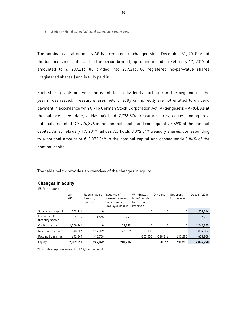#### *9. Subscribed capital and capital reserves*

The nominal capital of adidas AG has remained unchanged since December 31, 2015. As at the balance sheet date, and in the period beyond, up to and including February 17, 2017, it amounted to € 209,216,186 divided into 209,216,186 registered no-par-value shares ('registered shares') and is fully paid in.

Each share grants one vote and is entitled to dividends starting from the beginning of the year it was issued. Treasury shares held directly or indirectly are not entitled to dividend payment in accordance with § 71b German Stock Corporation Act (Aktiengesetz – AktG). As at the balance sheet date, adidas AG held 7,726,876 treasury shares, corresponding to a notional amount of  $\epsilon$  7,726,876 in the nominal capital and consequently 3.69% of the nominal capital. As at February 17, 2017, adidas AG holds 8,072,349 treasury shares, corresponding to a notional amount of  $\epsilon$  8,072,349 in the nominal capital and consequently 3.86% of the nominal capital.

The table below provides an overview of the changes in equity:

## **Changes in equity**

EUR thousand

|                                 | Jan. 1.<br>2016 | Repurchase of Issuance of<br>treasurv<br>shares | treasury shares /<br>Conversion /<br>Employee shares | Withdrawal<br>from/transfer<br>to revenue<br>reserves | Dividend   | Net profit<br>for the year | Dec. 31, 2016 |
|---------------------------------|-----------------|-------------------------------------------------|------------------------------------------------------|-------------------------------------------------------|------------|----------------------------|---------------|
| Subscribed capital              | 209.216         | 0                                               |                                                      | 0                                                     | 0          | 0                          | 209,216       |
| Par value of<br>treasury shares | $-9.019$        | $-1.655$                                        | 2.947                                                | 0                                                     | 0          | 0                          | $-7,727$      |
| Capital reserves                | 1,200,966       | 0                                               | 59.899                                               | $\Omega$                                              | 0          | 0                          | 1,260,865     |
| Revenue reserves*)              | 43.206          | $-217.029$                                      | 177.859                                              | 300.000                                               | 0          | 0                          | 304,036       |
| Retained earnings               | 642.641         | $-10.708$                                       |                                                      | $-300.000$                                            | $-320.316$ | 617.290                    | 628,908       |
| <b>Equity</b>                   | 2,087,011       | $-229,392$                                      | 240.705                                              | 0                                                     | $-320.316$ | 617,290                    | 2,395,298     |

\*) Includes legal reserves of EUR 4,036 thousand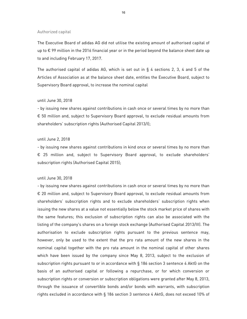#### Authorized capital

The Executive Board of adidas AG did not utilise the existing amount of authorised capital of up to € 99 million in the 2016 financial year or in the period beyond the balance sheet date up to and including February 17, 2017.

The authorised capital of adidas AG, which is set out in  $\S$  4 sections 2, 3, 4 and 5 of the Articles of Association as at the balance sheet date, entitles the Executive Board, subject to Supervisory Board approval, to increase the nominal capital

# until June 30, 2018

- by issuing new shares against contributions in cash once or several times by no more than € 50 million and, subject to Supervisory Board approval, to exclude residual amounts from shareholders' subscription rights (Authorised Capital 2013/I);

#### until June 2, 2018

- by issuing new shares against contributions in kind once or several times by no more than € 25 million and, subject to Supervisory Board approval, to exclude shareholders' subscription rights (Authorised Capital 2015);

#### until June 30, 2018

- by issuing new shares against contributions in cash once or several times by no more than € 20 million and, subject to Supervisory Board approval, to exclude residual amounts from shareholders' subscription rights and to exclude shareholders' subscription rights when issuing the new shares at a value not essentially below the stock market price of shares with the same features; this exclusion of subscription rights can also be associated with the listing of the company's shares on a foreign stock exchange (Authorised Capital 2013/III). The authorisation to exclude subscription rights pursuant to the previous sentence may, however, only be used to the extent that the pro rata amount of the new shares in the nominal capital together with the pro rata amount in the nominal capital of other shares which have been issued by the company since May 8, 2013, subject to the exclusion of subscription rights pursuant to or in accordance with § 186 section 3 sentence 4 AktG on the basis of an authorised capital or following a repurchase, or for which conversion or subscription rights or conversion or subscription obligations were granted after May 8, 2013, through the issuance of convertible bonds and/or bonds with warrants, with subscription rights excluded in accordance with § 186 section 3 sentence 4 AktG, does not exceed 10% of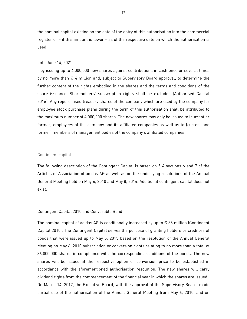the nominal capital existing on the date of the entry of this authorisation into the commercial register or – if this amount is lower – as of the respective date on which the authorisation is used

#### until June 14, 2021

- by issuing up to 4,000,000 new shares against contributions in cash once or several times by no more than € 4 million and, subject to Supervisory Board approval, to determine the further content of the rights embodied in the shares and the terms and conditions of the share issuance. Shareholders' subscription rights shall be excluded (Authorised Capital 2016). Any repurchased treasury shares of the company which are used by the company for employee stock purchase plans during the term of this authorisation shall be attributed to the maximum number of 4,000,000 shares. The new shares may only be issued to (current or former) employees of the company and its affiliated companies as well as to (current and former) members of management bodies of the company's affiliated companies.

#### Contingent capital

The following description of the Contingent Capital is based on § 4 sections 6 and 7 of the Articles of Association of adidas AG as well as on the underlying resolutions of the Annual General Meeting held on May 6, 2010 and May 8, 2014. Additional contingent capital does not exist.

#### Contingent Capital 2010 and Convertible Bond

The nominal capital of adidas AG is conditionally increased by up to  $\epsilon$  36 million (Contingent Capital 2010). The Contingent Capital serves the purpose of granting holders or creditors of bonds that were issued up to May 5, 2015 based on the resolution of the Annual General Meeting on May 6, 2010 subscription or conversion rights relating to no more than a total of 36,000,000 shares in compliance with the corresponding conditions of the bonds. The new shares will be issued at the respective option or conversion price to be established in accordance with the aforementioned authorisation resolution. The new shares will carry dividend rights from the commencement of the financial year in which the shares are issued. On March 14, 2012, the Executive Board, with the approval of the Supervisory Board, made partial use of the authorisation of the Annual General Meeting from May 6, 2010, and on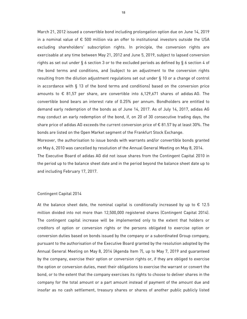March 21, 2012 issued a convertible bond including prolongation option due on June 14, 2019 in a nominal value of € 500 million via an offer to institutional investors outside the USA excluding shareholders' subscription rights. In principle, the conversion rights are exercisable at any time between May 21, 2012 and June 5, 2019, subject to lapsed conversion rights as set out under § 6 section 3 or to the excluded periods as defined by § 6 section 4 of the bond terms and conditions, and (subject to an adjustment to the conversion rights resulting from the dilution adjustment regulations set out under § 10 or a change of control in accordance with § 13 of the bond terms and conditions) based on the conversion price amounts to  $\epsilon$  81,57 per share, are convertible into 6,129,671 shares of adidas AG. The convertible bond bears an interest rate of 0.25% per annum. Bondholders are entitled to demand early redemption of the bonds as of June 14, 2017. As of July 14, 2017, adidas AG may conduct an early redemption of the bond, if, on 20 of 30 consecutive trading days, the share price of adidas AG exceeds the current conversion price of  $\epsilon$  81.57 by at least 30%. The bonds are listed on the Open Market segment of the Frankfurt Stock Exchange.

Moreover, the authorisation to issue bonds with warrants and/or convertible bonds granted on May 6, 2010 was cancelled by resolution of the Annual General Meeting on May 8, 2014. The Executive Board of adidas AG did not issue shares from the Contingent Capital 2010 in the period up to the balance sheet date and in the period beyond the balance sheet date up to and including February 17, 2017.

### Contingent Capital 2014

At the balance sheet date, the nominal capital is conditionally increased by up to  $\epsilon$  12.5 million divided into not more than 12,500,000 registered shares (Contingent Capital 2014). The contingent capital increase will be implemented only to the extent that holders or creditors of option or conversion rights or the persons obligated to exercise option or conversion duties based on bonds issued by the company or a subordinated Group company, pursuant to the authorisation of the Executive Board granted by the resolution adopted by the Annual General Meeting on May 8, 2014 (Agenda Item 7), up to May 7, 2019 and guaranteed by the company, exercise their option or conversion rights or, if they are obliged to exercise the option or conversion duties, meet their obligations to exercise the warrant or convert the bond, or to the extent that the company exercises its rights to choose to deliver shares in the company for the total amount or a part amount instead of payment of the amount due and insofar as no cash settlement, treasury shares or shares of another public publicly listed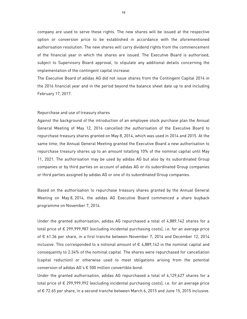company are used to serve these rights. The new shares will be issued at the respective option or conversion price to be established in accordance with the aforementioned authorisation resolution. The new shares will carry dividend rights from the commencement of the financial year in which the shares are issued. The Executive Board is authorised, subject to Supervisory Board approval, to stipulate any additional details concerning the implementation of the contingent capital increase.

The Executive Board of adidas AG did not issue shares from the Contingent Capital 2014 in the 2016 financial year and in the period beyond the balance sheet date up to and including February 17, 2017.

#### Repurchase and use of treasury shares

Against the background of the introduction of an employee stock purchase plan the Annual General Meeting of May 12, 2016 cancelled the authorisation of the Executive Board to repurchase treasury shares granted on May 8, 2014, which was used in 2014 and 2015. At the same time, the Annual General Meeting granted the Executive Board a new authorisation to repurchase treasury shares up to an amount totalling 10% of the nominal capital until May 11, 2021. The authorisation may be used by adidas AG but also by its subordinated Group companies or by third parties on account of adidas AG or its subordinated Group companies or third parties assigned by adidas AG or one of its subordinated Group companies.

Based on the authorisation to repurchase treasury shares granted by the Annual General Meeting on May 8, 2014, the adidas AG Executive Board commenced a share buyback programme on November 7, 2014.

Under the granted authorisation, adidas AG repurchased a total of 4,889,142 shares for a total price of € 299,999,987 (excluding incidental purchasing costs), i.e. for an average price of € 61.36 per share, in a first tranche between November 7, 2014 and December 12, 2014 inclusive. This corresponded to a notional amount of  $\epsilon$  4,889,142 in the nominal capital and consequently to 2.34% of the nominal capital. The shares were repurchased for cancellation (capital reduction) or otherwise used to meet obligations arising from the potential conversion of adidas AG's € 500 million convertible bond.

Under the granted authorisation, adidas AG repurchased a total of 4,129,627 shares for a total price of € 299,999,992 (excluding incidental purchasing costs), i.e. for an average price of € 72.65 per share, in a second tranche between March 6, 2015 and June 15, 2015 inclusive.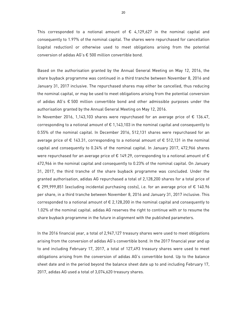This corresponded to a notional amount of  $\epsilon$  4,129,627 in the nominal capital and consequently to 1.97% of the nominal capital. The shares were repurchased for cancellation (capital reduction) or otherwise used to meet obligations arising from the potential conversion of adidas AG's € 500 million convertible bond.

Based on the authorisation granted by the Annual General Meeting on May 12, 2016, the share buyback programme was continued in a third tranche between November 8, 2016 and January 31, 2017 inclusive. The repurchased shares may either be cancelled, thus reducing the nominal capital, or may be used to meet obligations arising from the potential conversion of adidas AG's € 500 million convertible bond and other admissible purposes under the authorisation granted by the Annual General Meeting on May 12, 2016.

In November 2016, 1,143,103 shares were repurchased for an average price of € 136.47, corresponding to a notional amount of  $\epsilon$  1,143,103 in the nominal capital and consequently to 0.55% of the nominal capital. In December 2016, 512,131 shares were repurchased for an average price of  $\epsilon$  143.31, corresponding to a notional amount of  $\epsilon$  512,131 in the nominal capital and consequently to 0.24% of the nominal capital. In January 2017, 472,966 shares were repurchased for an average price of  $\epsilon$  149.29, corresponding to a notional amount of  $\epsilon$ 472,966 in the nominal capital and consequently to 0.23% of the nominal capital. On January 31, 2017, the third tranche of the share buyback programme was concluded. Under the granted authorisation, adidas AG repurchased a total of 2,128,200 shares for a total price of € 299,999,851 (excluding incidental purchasing costs), i.e. for an average price of € 140.96 per share, in a third tranche between November 8, 2016 and January 31, 2017 inclusive. This corresponded to a notional amount of € 2,128,200 in the nominal capital and consequently to 1.02% of the nominal capital. adidas AG reserves the right to continue with or to resume the share buyback programme in the future in alignment with the published parameters.

In the 2016 financial year, a total of 2,947,127 treasury shares were used to meet obligations arising from the conversion of adidas AG's convertible bond. In the 2017 financial year and up to and including February 17, 2017, a total of 127,493 treasury shares were used to meet obligations arising from the conversion of adidas AG's convertible bond. Up to the balance sheet date and in the period beyond the balance sheet date up to and including February 17, 2017, adidas AG used a total of 3,074,620 treasury shares.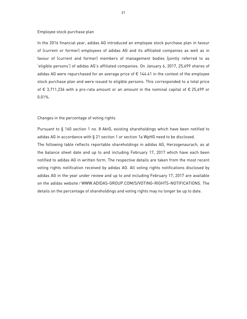#### Employee stock purchase plan

In the 2016 financial year, adidas AG introduced an employee stock purchase plan in favour of (current or former) employees of adidas AG and its affiliated companies as well as in favour of (current and former) members of management bodies (jointly referred to as 'eligible persons') of adidas AG's affiliated companies. On January 6, 2017, 25,699 shares of adidas AG were repurchased for an average price of  $\epsilon$  144.41 in the context of the employee stock purchase plan and were issued to eligible persons. This corresponded to a total price of € 3,711,236 with a pro-rata amount or an amount in the nominal capital of € 25,699 or 0.01%.

#### Changes in the percentage of voting rights

Pursuant to § 160 section 1 no. 8 AktG, existing shareholdings which have been notified to adidas AG in accordance with § 21 section 1 or section 1a WpHG need to be disclosed. The following table reflects reportable shareholdings in adidas AG, Herzogenaurach, as at the balance sheet date and up to and including February 17, 2017 which have each been notified to adidas AG in written form. The respective details are taken from the most recent voting rights notification received by adidas AG. All voting rights notifications disclosed by adidas AG in the year under review and up to and including February 17, 2017 are available on the adidas website ⁄ WWW.ADIDAS-GROUP.COM/S/VOTING-RIGHTS-NOTIFICATIONS. The details on the percentage of shareholdings and voting rights may no longer be up to date.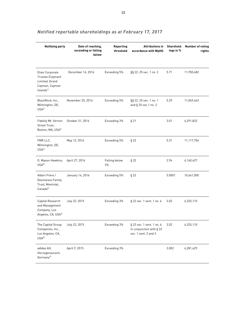| <b>Notifying party</b>                                                                           | Date of reaching,<br>exceeding or falling<br>below | Reporting<br>threshold | <b>Attributions in</b><br>accordance with WpHG                                | Sharehold<br>ings in % | <b>Number of voting</b><br>rights |
|--------------------------------------------------------------------------------------------------|----------------------------------------------------|------------------------|-------------------------------------------------------------------------------|------------------------|-----------------------------------|
| Elian Corporate<br>Trustee (Cayman)<br>Limited, Grand<br>Cayman, Cayman<br>Islands <sup>1)</sup> | December 16, 2016                                  | Exceeding 5%           | §§ 22, 25 sec. 1 no. 2                                                        | 5.71                   | 11,950,482                        |
| BlackRock, Inc.,<br>Wilmington, DE,<br>USA <sup>2</sup>                                          | November 25, 2016                                  | Exceeding 5%           | §§ 22, 25 sec. 1 no. 1<br>and § 25 sec.1 no. 2                                | 5.29                   | 11,069,462                        |
| Fidelity Mt. Vernon<br>Street Trust,<br>Boston, MA, USA31                                        | October 31, 2016                                   | Exceeding 3%           | $§$ 21                                                                        | 3.01                   | 6,291,822                         |
| FMR LLC.<br>Wilmington, DE,<br>USA <sup>4</sup>                                                  | May 12, 2016                                       | Exceeding 5%           | $§$ 22                                                                        | 5.31                   | 11,117,704                        |
| 0. Mason Hawkins,<br>$USA^{5}$                                                                   | April 27, 2016                                     | Falling below<br>3%    | $§$ 22                                                                        | 2.94                   | 6,160,627                         |
| Albert Frère /<br>Desmarais Family<br>Trust, Montréal,<br>Canada <sup>61</sup>                   | January 14, 2016                                   | Exceeding 5%           | $§$ 22                                                                        | 5.0001                 | 10,461,000                        |
| Capital Research<br>and Management<br>Company, Los<br>Angeles, CA, USA71                         | July 22, 2015                                      | Exceeding 3%           | § 22 sec. 1 sent. 1 no. 6                                                     | 3.02                   | 6,325,110                         |
| The Capital Group<br>Companies, Inc.,<br>Los Angeles, CA,<br>USA <sup>81</sup>                   | July 22, 2015                                      | Exceeding 3%           | § 22 sec. 1 sent. 1 no. 6<br>in conjunction with § 22<br>sec. 1 sent. 2 and 3 | 3.02                   | 6,325,110                         |
| adidas AG,<br>Herzogenaurach,<br>Germany <sup>91</sup>                                           | April 9, 2015                                      | Exceeding 3%           |                                                                               | 3.002                  | 6,281,429                         |

# *Notified reportable shareholdings as at February 17, 2017*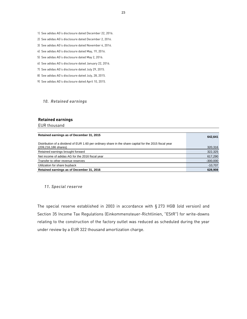- 1) See adidas AG's disclosure dated December 22, 2016.
- 2) See adidas AG's disclosure dated December 2, 2016.
- 3) See adidas AG's disclosure dated November 4, 2016.
- 4) See adidas AG's disclosure dated May, 19, 2016.
- 5) See adidas AG's disclosure dated May 2, 2016.
- 6) See adidas AG's disclosure dated January 22, 2016.
- 7) See adidas AG's disclosure dated July 29, 2015.
- 8) See adidas AG's disclosure dated July, 28, 2015.
- 9) See adidas AG's disclosure dated April 10, 2015.

#### *10. Retained earnings*

#### **Retained earnings**

EUR thousand

| Retained earnings as of December 31, 2015                                                                                       | 642,641    |
|---------------------------------------------------------------------------------------------------------------------------------|------------|
| Distribution of a dividend of EUR 1.60 per ordinary share in the share capital for the 2015 fiscal year<br>(209,216,186 shares) | 320,316    |
| Retained earnings brought forward                                                                                               | 322,325    |
| Net income of adidas AG for the 2016 fiscal year                                                                                | 617,290    |
| Transfer to other revenue reserves                                                                                              | $-300,000$ |
| Utilization for share buyback                                                                                                   | $-10,707$  |
| Retained earnings as of December 31, 2016                                                                                       | 628,908    |

#### *11. Special reserve*

The special reserve established in 2003 in accordance with § 273 HGB (old version) and Section 35 Income Tax Regulations (Einkommensteuer-Richtlinien, "EStR") for write-downs relating to the construction of the factory outlet was reduced as scheduled during the year under review by a EUR 322 thousand amortization charge.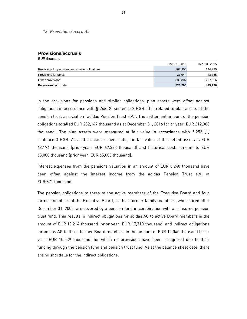#### *12. Provisions/accruals*

#### **Provisions/accruals**

EUR thousand

| Provisions for taxes                            | 21.944        | 43,355        |
|-------------------------------------------------|---------------|---------------|
| Provisions for pensions and similar obligations | 163,954       | 144,985       |
|                                                 | Dec. 31, 2016 | Dec. 31, 2015 |

In the provisions for pensions and similar obligations, plan assets were offset against obligations in accordance with § 246 [2] sentence 2 HGB. This related to plan assets of the pension trust association "adidas Pension Trust e.V.". The settlement amount of the pension obligations totalled EUR 232,147 thousand as at December 31, 2016 (prior year: EUR 212,308 thousand). The plan assets were measured at fair value in accordance with  $\S 253$  [1] sentence 3 HGB. As at the balance sheet date, the fair value of the netted assets is EUR 68,194 thousand (prior year: EUR 67,323 thousand) and historical costs amount to EUR 65,000 thousand (prior year: EUR 65,000 thousand).

Interest expenses from the pensions valuation in an amount of EUR 8,248 thousand have been offset against the interest income from the adidas Pension Trust e.V. of EUR 871 thousand.

The pension obligations to three of the active members of the Executive Board and four former members of the Executive Board, or their former family members, who retired after December 31, 2005, are covered by a pension fund in combination with a reinsured pension trust fund. This results in indirect obligations for adidas AG to active Board members in the amount of EUR 18,214 thousand (prior year: EUR 17,710 thousand) and indirect obligations for adidas AG to three former Board members in the amount of EUR 12,040 thousand (prior year: EUR 10,539 thousand) for which no provisions have been recognized due to their funding through the pension fund and pension trust fund. As at the balance sheet date, there are no shortfalls for the indirect obligations.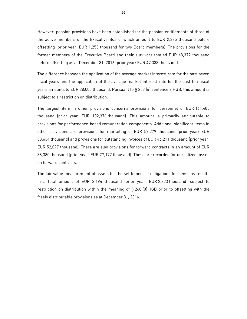However, pension provisions have been established for the pension entitlements of three of the active members of the Executive Board, which amount to EUR 2,385 thousand before offsetting (prior year: EUR 1,253 thousand for two Board members). The provisions for the former members of the Executive Board and their survivors totaled EUR 48,372 thousand before offsetting as at December 31, 2016 (prior year: EUR 47,338 thousand).

The difference between the application of the average market interest rate for the past seven fiscal years and the application of the average market interest rate for the past ten fiscal years amounts to EUR 28,000 thousand. Pursuant to § 253 (6) sentence 2 HGB, this amount is subject to a restriction on distribution.

The largest item in other provisions concerns provisions for personnel of EUR 161,405 thousand (prior year: EUR 102,376 thousand). This amount is primarily attributable to provisions for performance-based remuneration components. Additional significant items in other provisions are provisions for marketing of EUR 57,279 thousand (prior year: EUR 58,634 thousand) and provisions for outstanding invoices of EUR 46,211 thousand (prior year: EUR 52,097 thousand). There are also provisions for forward contracts in an amount of EUR 38,380 thousand (prior year: EUR 27,177 thousand). These are recorded for unrealized losses on forward contracts.

The fair value measurement of assets for the settlement of obligations for pensions results in a total amount of EUR 3,194 thousand (prior year: EUR 2,323 thousand) subject to restriction on distribution within the meaning of § 268 [8] HGB prior to offsetting with the freely distributable provisions as at December 31, 2016.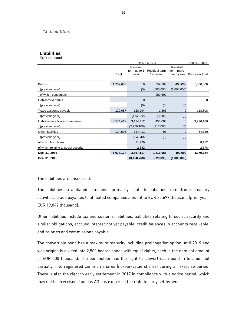#### *13. Liabilities*

**Liabilities**

| <b>EUR thousand</b>                  |           |                                  |                            |                                       |                  |
|--------------------------------------|-----------|----------------------------------|----------------------------|---------------------------------------|------------------|
|                                      |           |                                  | Dec. 31, 2015              |                                       |                  |
|                                      | Total     | Residual<br>term up to 1<br>year | Residual term<br>1-5 years | Residual<br>term more<br>than 5 years | Prior year total |
| <b>Bonds</b>                         | 1,259,600 | 0                                | 859,600                    | 400,000                               | 1,500,000        |
| (previous year)                      |           | (0)                              | (500,000)                  | (1,000,000)                           |                  |
| of which convertible                 |           |                                  | 259,600                    |                                       |                  |
| Liabilities to banks                 | 0         | 0                                | 0                          | $\mathbf 0$                           | 0                |
| (previous year)                      |           | (0)                              | (0)                        | (0)                                   |                  |
| Trade accounts payable               | 129,657   | 128,294                          | 1,363                      | 0                                     | 118,808          |
| (previous year)                      |           | (114, 822)                       | (3,986)                    | (0)                                   |                  |
| Liabilities to affiliated companies  | 3,574,412 | 3,124,412                        | 450,000                    | $\mathbf 0$                           | 3,296,106        |
| (previous year)                      |           | (2,979,106)                      | (317,000)                  | (0)                                   |                  |
| Other liabilities                    | 114,505   | 114,411                          | 93                         | $\mathbf 0$                           | 64,840           |
| (previous year)                      |           | (64, 840)                        | (0)                        | (0)                                   |                  |
| of which from taxes                  |           | 11,229                           |                            |                                       | 8,112            |
| of which relating to social security |           | 2,382                            |                            |                                       | 2,378            |
| Dec. 31, 2016                        | 5,078,174 | 3,367,117                        | 1,311,056                  | 400,000                               | 4,979,754        |
| Dec. 31, 2015                        |           | (3, 158, 768)                    | (820, 896)                 | (1,000,000)                           |                  |

The liabilities are unsecured.

The liabilities to affiliated companies primarily relate to liabilities from Group Treasury activities. Trade payables to affiliated companies amount to EUR 33,697 thousand (prior year: EUR 19,842 thousand).

Other liabilities include tax and customs liabilities, liabilities relating to social security and similar obligations, accrued interest not yet payable, credit balances in accounts receivable, and salaries and commissions payable.

The convertible bond has a maximum maturity including prolongation option until 2019 and was originally divided into 2,500 bearer bonds with equal rights, each in the nominal amount of EUR 200 thousand. The bondholder has the right to convert each bond in full, but not partially, into registered common shares (no-par-value shares) during an exercise period. There is also the right to early settlement in 2017 in compliance with a notice period, which may not be exercised if adidas AG has exercised the right to early settlement.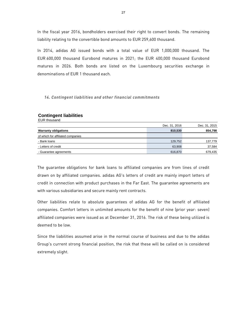In the fiscal year 2016, bondholders exercised their right to convert bonds. The remaining liability relating to the convertible bond amounts to EUR 259,600 thousand.

In 2014, adidas AG issued bonds with a total value of EUR 1,000,000 thousand. The EUR 600,000 thousand Eurobond matures in 2021; the EUR 400,000 thousand Eurobond matures in 2026. Both bonds are listed on the Luxembourg securities exchange in denominations of EUR 1 thousand each.

### *14. Contingent liabilities and other financial commitments*

### **Contingent liabilities**

EUR thousand

|                                   | Dec. 31, 2016 | Dec. 31, 2015 |
|-----------------------------------|---------------|---------------|
| <b>Warranty obligations</b>       | 810,530       | 854,798       |
| of which for affiliated companies |               |               |
| - Bank loans                      | 129,752       | 137,779       |
| - Letters of credit               | 63,908        | 37,584        |
| - Guarantee agreements            | 616,870       | 679,435       |

The guarantee obligations for bank loans to affiliated companies are from lines of credit drawn on by affiliated companies. adidas AG's letters of credit are mainly import letters of credit in connection with product purchases in the Far East. The guarantee agreements are with various subsidiaries and secure mainly rent contracts.

Other liabilities relate to absolute guarantees of adidas AG for the benefit of affiliated companies. Comfort letters in unlimited amounts for the benefit of nine (prior year: seven) affiliated companies were issued as at December 31, 2016. The risk of these being utilized is deemed to be low.

Since the liabilities assumed arise in the normal course of business and due to the adidas Group's current strong financial position, the risk that these will be called on is considered extremely slight.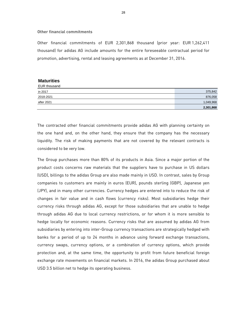#### **Other financial commitments**

Other financial commitments of EUR 2,301,868 thousand (prior year: EUR 1,262,411 thousand) for adidas AG include amounts for the entire foreseeable contractual period for promotion, advertising, rental and leasing agreements as at December 31, 2016.

#### **Maturities**

| EUR thousand |           |
|--------------|-----------|
| in 2017      | 375,842   |
| 2018-2021    | 876,058   |
| after 2021   | 1,049,968 |
|              | 2,301,868 |

The contracted other financial commitments provide adidas AG with planning certainty on the one hand and, on the other hand, they ensure that the company has the necessary liquidity. The risk of making payments that are not covered by the relevant contracts is considered to be very low.

The Group purchases more than 80% of its products in Asia. Since a major portion of the product costs concerns raw materials that the suppliers have to purchase in US dollars (USD), billings to the adidas Group are also made mainly in USD. In contrast, sales by Group companies to customers are mainly in euros (EUR), pounds sterling (GBP), Japanese yen (JPY), and in many other currencies. Currency hedges are entered into to reduce the risk of changes in fair value and in cash flows (currency risks). Most subsidiaries hedge their currency risks through adidas AG, except for those subsidiaries that are unable to hedge through adidas AG due to local currency restrictions, or for whom it is more sensible to hedge locally for economic reasons. Currency risks that are assumed by adidas AG from subsidiaries by entering into inter-Group currency transactions are strategically hedged with banks for a period of up to 24 months in advance using forward exchange transactions, currency swaps, currency options, or a combination of currency options, which provide protection and, at the same time, the opportunity to profit from future beneficial foreign exchange rate movements on financial markets. In 2016, the adidas Group purchased about USD 3.5 billion net to hedge its operating business.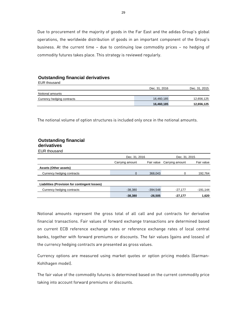Due to procurement of the majority of goods in the Far East and the adidas Group's global operations, the worldwide distribution of goods in an important component of the Group's business. At the current time – due to continuing low commodity prices – no hedging of commodity futures takes place. This strategy is reviewed regularly.

#### **Outstanding financial derivatives**

| EUR thousand               |               |               |
|----------------------------|---------------|---------------|
|                            | Dec. 31, 2016 | Dec. 31, 2015 |
| Notional amounts           |               |               |
| Currency hedging contracts | 16,460,185    | 12,656,125    |
|                            | 16,460,185    | 12,656,125    |

The notional volume of option structures is included only once in the notional amounts.

#### **Outstanding financial derivatives**

EUR thousand

|                                               | Dec. 31, 2016   |            | Dec. 31, 2015              |            |
|-----------------------------------------------|-----------------|------------|----------------------------|------------|
|                                               | Carrying amount |            | Fair value Carrying amount | Fair value |
| Assets (Other assets)                         |                 |            |                            |            |
| Currency hedging contracts                    | $\mathbf 0$     | 368,043    | 0                          | 192,764    |
|                                               |                 |            |                            |            |
| Liabilities (Provision for contingent losses) |                 |            |                            |            |
| Currency hedging contracts                    | $-38,380$       | $-394,548$ | $-27,177$                  | $-191,144$ |
|                                               | $-38,380$       | $-26.505$  | $-27.177$                  | 1,620      |

Notional amounts represent the gross total of all call and put contracts for derivative financial transactions. Fair values of forward exchange transactions are determined based on current ECB reference exchange rates or reference exchange rates of local central banks, together with forward premiums or discounts. The fair values (gains and losses) of the currency hedging contracts are presented as gross values.

Currency options are measured using market quotes or option pricing models (Garman-Kohlhagen model).

The fair value of the commodity futures is determined based on the current commodity price taking into account forward premiums or discounts.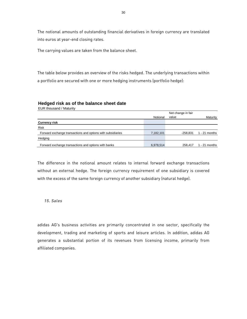The notional amounts of outstanding financial derivatives in foreign currency are translated into euros at year-end closing rates.

The carrying values are taken from the balance sheet.

The table below provides an overview of the risks hedged. The underlying transactions within a portfolio are secured with one or more hedging instruments (portfolio hedge):

#### **Hedged risk as of the balance sheet date**

EUR thousand / Maturity

|                                                             |           | Net change in fair |                 |
|-------------------------------------------------------------|-----------|--------------------|-----------------|
|                                                             | Notional  | value              | Maturity        |
| <b>Currency risk</b>                                        |           |                    |                 |
| Risk                                                        |           |                    |                 |
| Forward exchange transactions and options with subsidiaries | 7,182,101 | $-258.831$         | $1 - 21$ months |
| Hedging                                                     |           |                    |                 |
| Forward exchange transactions and options with banks        | 6,978,514 | 258.417            | $1 - 21$ months |

 $\overline{\phantom{a}}$ 

The difference in the notional amount relates to internal forward exchange transactions without an external hedge. The foreign currency requirement of one subsidiary is covered with the excess of the same foreign currency of another subsidiary (natural hedge).

*15. Sales* 

adidas AG's business activities are primarily concentrated in one sector, specifically the development, trading and marketing of sports and leisure articles. In addition, adidas AG generates a substantial portion of its revenues from licensing income, primarily from affiliated companies.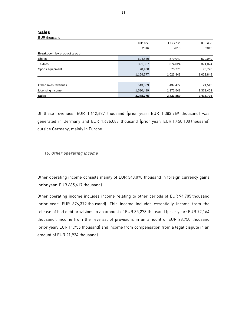#### **Sales**  EUR thousand

|                            | HGB n.v.  | HGB n.v.  | HGB o.v.  |
|----------------------------|-----------|-----------|-----------|
|                            | 2016      | 2015      | 2015      |
| Breakdown by product group |           |           |           |
| Shoes                      | 694,540   | 579,049   | 579,049   |
| <b>Textiles</b>            | 391,807   | 374,024   | 374,024   |
| Sports equipment           | 78,430    | 70,776    | 70,776    |
|                            | 1,164,777 | 1,023,849 | 1,023,849 |
|                            |           |           |           |
| Other sales revenues       | 543,509   | 437,472   | 21,545    |
| Licensing income           | 1,580,489 | 1,372,548 | 1,371,402 |
| <b>Sales</b>               | 3.288.775 | 2.833.869 | 2,416,796 |

Of these revenues, EUR 1,612,687 thousand (prior year: EUR 1,383,769 thousand) was generated in Germany and EUR 1,676,088 thousand (prior year: EUR 1,450,100 thousand) outside Germany, mainly in Europe.

### *16. Other operating income*

Other operating income consists mainly of EUR 343,070 thousand in foreign currency gains (prior year: EUR 685,617 thousand).

Other operating income includes income relating to other periods of EUR 94,705 thousand (prior year: EUR 376,372 thousand). This income includes essentially income from the release of bad debt provisions in an amount of EUR 35,278 thousand (prior year: EUR 72,164 thousand), income from the reversal of provisions in an amount of EUR 28,750 thousand (prior year: EUR 11,755 thousand) and income from compensation from a legal dispute in an amount of EUR 21,924 thousand).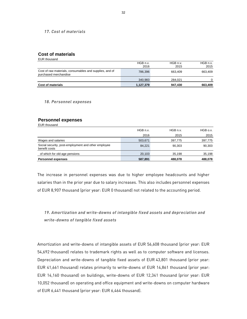#### *17. Cost of materials*

### **Cost of materials**

| EUR thousand                                                                     |           |          |          |
|----------------------------------------------------------------------------------|-----------|----------|----------|
|                                                                                  | HGB n.v.  | HGB n.v. | HGB n.v. |
|                                                                                  | 2016      | 2015     | 2015     |
| Cost of raw materials, consumables and supplies, and of<br>purchased merchandise | 786,396   | 663.409  | 663.409  |
|                                                                                  | 340.983   | 284.021  | $\Omega$ |
| <b>Cost of materials</b>                                                         | 1,127,379 | 947.430  | 663,409  |

*18. Personnel expenses* 

### **Personnel expenses**

EUR thousand

| EUN IIIUUSAIIU                                                       |          |          |          |
|----------------------------------------------------------------------|----------|----------|----------|
|                                                                      | HGB n.v. | HGB n.v. | HGB o.v. |
|                                                                      | 2016     | 2015     | 2015     |
| Wages and salaries                                                   | 503,671  | 397,775  | 397,775  |
| Social security, post-employment and other employee<br>benefit costs | 84,221   | 90,303   | 90,303   |
| of which for old-age pensions                                        | 20,103   | 35.198   | 35,198   |
| <b>Personnel expenses</b>                                            | 587,891  | 488.078  | 488,078  |

The increase in personnel expenses was due to higher employee headcounts and higher salaries than in the prior year due to salary increases. This also includes personnel expenses of EUR 8,907 thousand (prior year: EUR 0 thousand) not related to the accounting period.

# *19. Amortization and write-downs of intangible fixed assets and depreciation and write-downs of tangible fixed assets*

Amortization and write-downs of intangible assets of EUR 56,608 thousand (prior year: EUR 54,692 thousand) relates to trademark rights as well as to computer software and licenses. Depreciation and write-downs of tangible fixed assets of EUR 43,801 thousand (prior year: EUR 41,661 thousand) relates primarily to write-downs of EUR 14,861 thousand (prior year: EUR 14,160 thousand) on buildings, write-downs of EUR 12,341 thousand (prior year: EUR 10,052 thousand) on operating and office equipment and write-downs on computer hardware of EUR 6,441 thousand (prior year: EUR 6,464 thousand).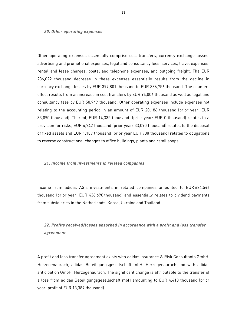#### *20. Other operating expenses*

Other operating expenses essentially comprise cost transfers, currency exchange losses, advertising and promotional expenses, legal and consultancy fees, services, travel expenses, rental and lease charges, postal and telephone expenses, and outgoing freight. The EUR 236,022 thousand decrease in these expenses essentially results from the decline in currency exchange losses by EUR 397,801 thousand to EUR 386,756 thousand. The countereffect results from an increase in cost transfers by EUR 94,006 thousand as well as legal and consultancy fees by EUR 58,949 thousand. Other operating expenses include expenses not relating to the accounting period in an amount of EUR 20,186 thousand (prior year: EUR 33,090 thousand). Thereof, EUR 14,335 thousand (prior year: EUR 0 thousand) relates to a provision for risks, EUR 4,742 thousand (prior year: 33,090 thousand) relates to the disposal of fixed assets and EUR 1,109 thousand (prior year EUR 938 thousand) relates to obligations to reverse constructional changes to office buildings, plants and retail shops.

#### *21. Income from investments in related companies*

Income from adidas AG's investments in related companies amounted to EUR 624,546 thousand (prior year: EUR 436,690 thousand) and essentially relates to dividend payments from subsidiaries in the Netherlands, Korea, Ukraine and Thailand.

# *22. Profits received/losses absorbed in accordance with a profit and loss transfer agreement*

A profit and loss transfer agreement exists with adidas Insurance & Risk Consultants GmbH, Herzogenaurach, adidas Beteiligungsgesellschaft mbH, Herzogenaurach and with adidas anticipation GmbH, Herzogenaurach. The significant change is attributable to the transfer of a loss from adidas Beteiligungsgesellschaft mbH amounting to EUR 4,418 thousand (prior year: profit of EUR 13,389 thousand).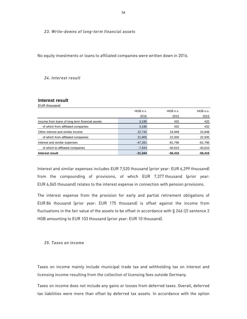*23. Write-downs of long-term financial assets* 

No equity investments or loans to affiliated companies were written down in 2016.

#### *24. Interest result*

### **Interest result**

EUR thousand

| HGB n.v.  | HGB n.v.  | HGB o.v.  |
|-----------|-----------|-----------|
| 2016      | 2015      | 2015      |
| 3,195     | 432       | 432       |
| 3,195     | 432       | 432       |
| 22,742    | 24,948    | 24,948    |
| 21,905    | 22,935    | 22,935    |
| $-47.281$ | -81,796   | $-81,796$ |
| $-7,644$  | $-40.610$ | $-40,610$ |
| $-21,344$ | $-56,416$ | $-56,416$ |
|           |           |           |

Interest and similar expenses includes EUR 7,520 thousand (prior year: EUR 6,299 thousand) from the compounding of provisions, of which EUR 7,377 thousand (prior year: EUR 6,065 thousand) relates to the interest expense in connection with pension provisions.

The interest expense from the provision for early and partial retirement obligations of EUR 86 thousand (prior year: EUR 175 thousand) is offset against the income from fluctuations in the fair value of the assets to be offset in accordance with § 246 (2) sentence 2 HGB amounting to EUR 103 thousand (prior year: EUR 10 thousand).

#### *25. Taxes on income*

Taxes on income mainly include municipal trade tax and withholding tax on interest and licensing income resulting from the collection of licensing fees outside Germany.

Taxes on income does not include any gains or losses from deferred taxes. Overall, deferred tax liabilities were more than offset by deferred tax assets. In accordance with the option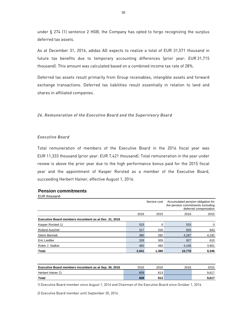under § 274 (1) sentence 2 HGB, the Company has opted to forgo recognizing the surplus deferred tax assets.

As at December 31, 2016, adidas AG expects to realize a total of EUR 31,571 thousand in future tax benefits due to temporary accounting differences (prior year: EUR 31,715 thousand). This amount was calculated based on a combined income tax rate of 28%.

Deferred tax assets result primarily from Group receivables, intangible assets and forward exchange transactions. Deferred tax liabilities result essentially in relation to land and shares in affiliated companies.

*26. Remuneration of the Executive Board and the Supervisory Board* 

### *Executive Board*

Total remuneration of members of the Executive Board in the 2016 fiscal year was EUR 11,333 thousand (prior year: EUR 7,421 thousand). Total remuneration in the year under review is above the prior year due to the high performance bonus paid for the 2015 fiscal year and the appointment of Kasper Rorsted as a member of the Executive Board, succeeding Herbert Hainer, effective August 1, 2016.

### **Pension commitments**

| <b>EUR</b> thousand                                   |       |              |                                                                         |                       |
|-------------------------------------------------------|-------|--------------|-------------------------------------------------------------------------|-----------------------|
|                                                       |       | Service cost | Accumulated pension obligation for<br>the pension commitments excluding | deferred compensation |
|                                                       | 2016  | 2015         | 2016                                                                    | 2015                  |
| Executive Board members incumbent as at Dec. 31, 2016 |       |              |                                                                         |                       |
| Kasper Rorsted 1)                                     | 533   | 0            | 533                                                                     | 0                     |
| <b>Roland Auschel</b>                                 | 317   | 316          | 925                                                                     | 643                   |
| Glenn Bennett                                         | 380   | 282          | 4,287                                                                   | 4,192                 |
| Eric Liedtke                                          | 328   | 305          | 927                                                                     | 610                   |
| Robin J. Stalker                                      | 483   | 483          | 4,106                                                                   | 3,901                 |
| <b>Total</b>                                          | 2,041 | 1.386        | 10,778                                                                  | 9,346                 |

| Executive Board members incumbent as at Sep. 30, 2016 | 2016 | 2015 | 2016 | 2015  |
|-------------------------------------------------------|------|------|------|-------|
| Herbert Hainer 2)                                     | 609  | 813  |      | 9.617 |
| Total                                                 | 609  | 813  |      | 9.617 |

1) Executive Board member since August 1, 2016 and Chairman of the Executive Board since October 1, 2016.

2) Executive Board member until September 30, 2016.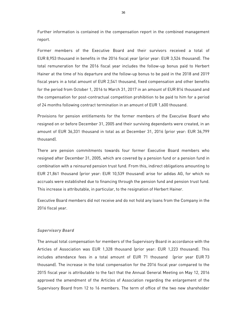Further information is contained in the compensation report in the combined management report.

Former members of the Executive Board and their survivors received a total of EUR 8,953 thousand in benefits in the 2016 fiscal year (prior year: EUR 3,524 thousand). The total remuneration for the 2016 fiscal year includes the follow-up bonus paid to Herbert Hainer at the time of his departure and the follow-up bonus to be paid in the 2018 and 2019 fiscal years in a total amount of EUR 2,541 thousand, fixed compensation and other benefits for the period from October 1, 2016 to March 31, 2017 in an amount of EUR 814 thousand and the compensation for post-contractual competition prohibition to be paid to him for a period of 24 months following contract termination in an amount of EUR 1,600 thousand.

Provisions for pension entitlements for the former members of the Executive Board who resigned on or before December 31, 2005 and their surviving dependants were created, in an amount of EUR 36,331 thousand in total as at December 31, 2016 (prior year: EUR 36,799 thousand).

There are pension commitments towards four former Executive Board members who resigned after December 31, 2005, which are covered by a pension fund or a pension fund in combination with a reinsured pension trust fund. From this, indirect obligations amounting to EUR 21,861 thousand (prior year: EUR 10,539 thousand) arise for adidas AG, for which no accruals were established due to financing through the pension fund and pension trust fund. This increase is attributable, in particular, to the resignation of Herbert Hainer.

Executive Board members did not receive and do not hold any loans from the Company in the 2016 fiscal year.

#### *Supervisory Board*

The annual total compensation for members of the Supervisory Board in accordance with the Articles of Association was EUR 1,328 thousand (prior year: EUR 1,223 thousand). This includes attendance fees in a total amount of EUR 71 thousand (prior year EUR 73 thousand). The increase in the total compensation for the 2016 fiscal year compared to the 2015 fiscal year is attributable to the fact that the Annual General Meeting on May 12, 2016 approved the amendment of the Articles of Association regarding the enlargement of the Supervisory Board from 12 to 16 members. The term of office of the two new shareholder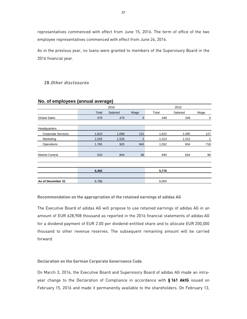representatives commenced with effect from June 15, 2016. The term of office of the two employee representatives commenced with effect from June 24, 2016.

As in the previous year, no loans were granted to members of the Supervisory Board in the 2016 financial year.

# **28.** *Other disclosures*

|                           |       | 2016     |                |       | 2015     |      |
|---------------------------|-------|----------|----------------|-------|----------|------|
|                           | Total | Salaried | Wage           | Total | Salaried | Wage |
| <b>Global Sales</b>       | 479   | 479      | $\mathbf{0}$   | 349   | 349      | 0    |
|                           |       |          |                |       |          |      |
| Headquarters              |       |          |                |       |          |      |
| <b>Corporate Services</b> | 1,810 | 1,689    | 121            | 1,622 | 1,495    | 127  |
| Marketing                 | 1,528 | 1,526    | $\overline{2}$ | 1,313 | 1,312    | 1    |
| Operations                | 1,765 | 920      | 845            | 1,552 | 834      | 718  |
|                           |       |          |                |       |          |      |
| <b>Market Central</b>     | 910   | 844      | 66             | 940   | 844      | 96   |
|                           |       |          |                |       |          |      |
|                           |       |          |                |       |          |      |
|                           | 6,492 |          |                | 5,776 |          |      |
|                           |       |          |                |       |          |      |
| As of December 31         | 6,788 |          |                | 6,004 |          |      |

### **No. of employees (annual average)**

**Recommendation on the appropriation of the retained earnings of adidas AG** 

The Executive Board of adidas AG will propose to use retained earnings of adidas AG in an amount of EUR 628,908 thousand as reported in the 2016 financial statements of adidas AG for a dividend payment of EUR 2.00 per dividend-entitled share and to allocate EUR 200,000 thousand to other revenue reserves. The subsequent remaining amount will be carried forward.

### **Declaration on the German Corporate Governance Code**

On March 3, 2016, the Executive Board and Supervisory Board of adidas AG made an intrayear change to the Declaration of Compliance in accordance with **§ 161 AktG** issued on February 15, 2016 and made it permanently available to the shareholders. On February 13,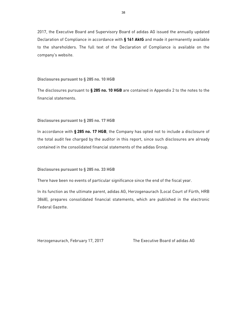2017, the Executive Board and Supervisory Board of adidas AG issued the annually updated Declaration of Compliance in accordance with **§ 161 AktG** and made it permanently available to the shareholders. The full text of the Declaration of Compliance is available on the company's website.

#### **Disclosures pursuant to § 285 no. 10 HGB**

The disclosures pursuant to **§ 285 no. 10 HGB** are contained in Appendix 2 to the notes to the financial statements.

#### **Disclosures pursuant to § 285 no. 17 HGB**

In accordance with **§ 285 no. 17 HGB**, the Company has opted not to include a disclosure of the total audit fee charged by the auditor in this report, since such disclosures are already contained in the consolidated financial statements of the adidas Group.

#### **Disclosures pursuant to § 285 no. 33 HGB**

There have been no events of particular significance since the end of the fiscal year.

In its function as the ultimate parent, adidas AG, Herzogenaurach (Local Court of Fürth, HRB 3868), prepares consolidated financial statements, which are published in the electronic Federal Gazette.

Herzogenaurach, February 17, 2017 The Executive Board of adidas AG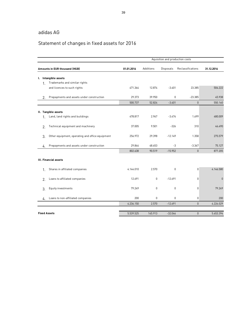# adidas AG

# Statement of changes in fixed assets for 2016

|                |                                                 | Aquisition and production costs |           |           |                   |             |
|----------------|-------------------------------------------------|---------------------------------|-----------|-----------|-------------------|-------------|
|                | Amounts in EUR thousand (HGB)                   | 01.01.2016                      | Additions | Disposals | Reclassifications | 31.12.2016  |
|                | I. Intangible assets                            |                                 |           |           |                   |             |
| $\mathbf{1}$   | Trademarks and similar rights                   |                                 |           |           |                   |             |
|                | and licences to such rights                     | 471.364                         | 12.874    | $-3.401$  | 23.385            | 504.222     |
| 2.             | Prepayments and assets under construction       | 29.373                          | 39.950    | 0         | $-23.385$         | 45.938      |
|                |                                                 | 500.737                         | 52.824    | $-3.401$  | $\mathbf{0}$      | 550.160     |
|                | II. Tangible assets                             |                                 |           |           |                   |             |
| $\mathbf{1}$ . | Land, land rights and buildings                 | 478.817                         | 2.967     | $-3.474$  | 1.699             | 480.009     |
| $\overline{2}$ | Technical equipment and machinery               | 37.005                          | 9.501     | $-326$    | 310               | 46.490      |
| 3.             | Other equipment, operating and office equipment | 256.972                         | 29.398    | $-12.149$ | 1.358             | 275.579     |
| 4.             | Prepayments and assets under construction       | 29.844                          | 48.653    | -3        | $-3.367$          | 75.127      |
|                |                                                 | 802.638                         | 90.519    | $-15.952$ | $\pmb{0}$         | 877.205     |
|                | III. Financial assets                           |                                 |           |           |                   |             |
| 1.             | Shares in affiliated companies                  | 4.144.010                       | 2.570     | 0         | 0                 | 4.146.580   |
| 2.             | Loans to affiliated companies                   | 12.691                          | 0         | $-12.691$ | 0                 | $\mathbf 0$ |
| 3.             | Equity investments                              | 79.249                          | 0         | 0         | 0                 | 79.249      |
| 4.             | Loans to non-affiliated companies               | 200                             | 0         | 0         | 0                 | 200         |
|                |                                                 | 4.236.150                       | 2.570     | $-12.691$ | $\mathbf{0}$      | 4.226.029   |
|                | <b>Fixed Assets</b>                             | 5.539.525                       | 145.913   | $-32.044$ | $\pmb{0}$         | 5.653.394   |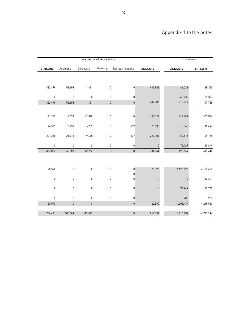# Appendix 1 to the notes

|                  |             |             | Accumulated depreciation |                       |             | Bookvalues  |            |
|------------------|-------------|-------------|--------------------------|-----------------------|-------------|-------------|------------|
| 01.01.2016       | Additions   | Disposals   | Write-up                 | Reclassifications     | 31.12.2016  | 31.12.2016  | 31.12.2015 |
|                  |             |             |                          |                       |             |             |            |
| 382.999          | 56.608      | $-1.621$    | 0                        | $\mathsf{0}$          | 437.986     | 66.236      | 88.365     |
| $\mathbb O$      | $\mathbf 0$ | $\mathbb O$ | 0                        | $\boldsymbol{0}$      | $\mathbf 0$ | 45.938      | 29.373     |
| 382.999          | 56.608      | $-1.621$    | $\overline{0}$           | $\mathbf{0}$          | 437.986     | 112.174     | 117.738    |
|                  |             |             |                          |                       |             |             |            |
| 121.273          | 14.572      | $-2.518$    | 0                        | $\boldsymbol{0}$      | 133.327     | 346.682     | 357.544    |
| 24.531           | 3.751       | $-259$      | 0                        | 107                   | 28.130      | 18.360      | 12.474     |
| 207.218          | 25.478      | $-9.485$    | 0                        | $-107$                | 223.104     | 52.475      | 49.754     |
| $\mathbf 0$      | $\mathbf 0$ | $\mathbf 0$ | 0                        | $\boldsymbol{0}$      | $\mathbf 0$ | 75.127      | 29.844     |
| 353.022          | 43.801      | $-12.262$   | $\overline{0}$           | $\mathbf{0}$          | 384.561     | 492.644     | 449.616    |
|                  |             |             |                          |                       |             |             |            |
| 20.590           | $\mathbf 0$ | $\mathbf 0$ | 0                        | $\boldsymbol{0}$<br>0 | 20.590      | 4.125.990   | 4.123.420  |
| $\mathbf 0$      | $\mathsf 0$ | $\mathbf 0$ | 0                        | $\boldsymbol{0}$      | $\mathbf 0$ | $\mathbf 0$ | 12.691     |
| $\boldsymbol{0}$ | $\mathbf 0$ | $\mathbb 0$ | 0                        | $\boldsymbol{0}$      | $\pmb{0}$   | 79.249      | 79.249     |
| $\mathbf 0$      | 0           | $\mathbb O$ | 0                        | 0                     | $\mathbb O$ | 200         | 200        |
| 20.590           | $\mathbf 0$ | $\mathbf 0$ |                          | $\mathbf 0$           | 20.590      | 4.205.439   | 4.215.560  |
|                  |             |             |                          |                       |             |             |            |
| 756.611          | 100.409     | $-13.883$   |                          | $\mathbf 0$           | 843.137     | 4.810.257   | 4.782.914  |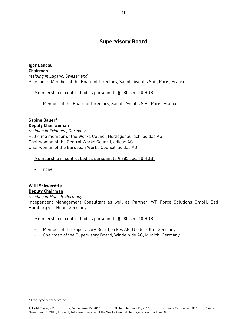# **Supervisory Board**

**Igor Landau Chairman**  *residing in Lugano, Switzerland*  Pensioner, Member of the Board of Directors, Sanofi-Aventis S.A., Paris, France<sup>1)</sup>

Membership in control bodies pursuant to § 285 sec. 10 HGB:

- Member of the Board of Directors, Sanofi-Aventis S.A., Paris, France<sup>11</sup>

# **Sabine Bauer\***

**Deputy Chairwoman**  *residing in Erlangen, Germany*  Full-time member of the Works Council Herzogenaurach, adidas AG Chairwoman of the Central Works Council, adidas AG Chairwoman of the European Works Council, adidas AG

Membership in control bodies pursuant to § 285 sec. 10 HGB:

- none

# **Willi Schwerdtle Deputy Chairman**

*residing in Munich, Germany*  Independent Management Consultant as well as Partner, WP Force Solutions GmbH, Bad Homburg v.d. Höhe, Germany

Membership in control bodies pursuant to § 285 sec. 10 HGB:

- Member of the Supervisory Board, Eckes AG, Nieder-Olm, Germany
- Chairman of the Supervisory Board, Windeln.de AG, Munich, Germany

\* Employee representative.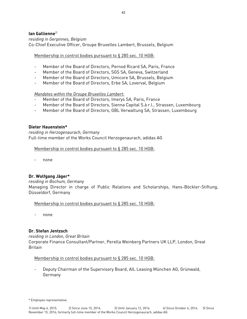# **Ian Gallienne**<sup>2)</sup>

*residing in Gerpinnes, Belgium*  Co-Chief Executive Officer, Groupe Bruxelles Lambert, Brussels, Belgium

Membership in control bodies pursuant to § 285 sec. 10 HGB:

- Member of the Board of Directors, Pernod Ricard SA, Paris, France
- Member of the Board of Directors, SGS SA, Geneva, Switzerland
- Member of the Board of Directors, Umicore SA, Brussels, Belgium
- Member of the Board of Directors, Erbe SA, Loverval, Belgium

*Mandates within the Groupe Bruxelles Lambert:* 

- Member of the Board of Directors, Imerys SA, Paris, France
- Member of the Board of Directors, Sienna Capital S.à r.l., Strassen, Luxembourg
- Member of the Board of Directors, GBL Verwaltung SA, Strassen, Luxembourg

# **Dieter Hauenstein\***

*residing in Herzogenaurach, Germany*  Full-time member of the Works Council Herzogenaurach, adidas AG

Membership in control bodies pursuant to § 285 sec. 10 HGB:

none

# **Dr. Wolfgang Jäger\***

# *residing in Bochum, Germany*

Managing Director in charge of Public Relations and Scholarships, Hans-Böckler-Stiftung, Düsseldorf, Germany

Membership in control bodies pursuant to § 285 sec. 10 HGB:

none

# **Dr. Stefan Jentzsch**

*residing in London, Great Britain* 

Corporate Finance Consultant/Partner, Perella Weinberg Partners UK LLP, London, Great Britain

Membership in control bodies pursuant to § 285 sec. 10 HGB:

Deputy Chairman of the Supervisory Board, AIL Leasing München AG, Grünwald, Germany

<sup>\*</sup> Employee representative.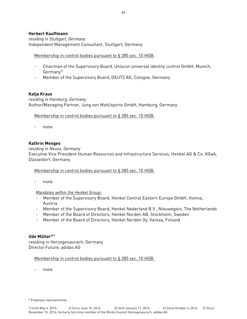# **Herbert Kauffmann**

*residing in Stuttgart, Germany* Independent Management Consultant, Stuttgart, Germany

# Membership in control bodies pursuant to § 285 sec. 10 HGB:

- Chairman of the Supervisory Board, Uniscon universal identity control GmbH, Munich, Germany<sup>31</sup>
- Member of the Supervisory Board, DEUTZ AG, Cologne, Germany

# **Katja Kraus**

*residing in Hamburg, Germany*  Author/Managing Partner, Jung von Matt/sports GmbH, Hamburg, Germany

# Membership in control bodies pursuant to § 285 sec. 10 HGB:

none

# **Kathrin Menges**

### *residing in Neuss, Germany*

Executive Vice President Human Resources and Infrastructure Services, Henkel AG & Co. KGaA, Düsseldorf, Germany

# Membership in control bodies pursuant to § 285 sec. 10 HGB:

none

# *Mandates within the Henkel Group:*

- Member of the Supervisory Board, Henkel Central Eastern Europe GmbH, Vienna, Austria
- Member of the Supervisory Board, Henkel Nederland B.V., Nieuwegein, The Netherlands
- Member of the Board of Directors, Henkel Norden AB, Stockholm, Sweden
- Member of the Board of Directors, Henkel Norden Oy, Vantaa, Finland

# **Udo Müller\***4)

residing in Herzogenaurach, Germany Director Future, adidas AG

# Membership in control bodies pursuant to § 285 sec. 10 HGB:

- none

<sup>\*</sup> Employee representative.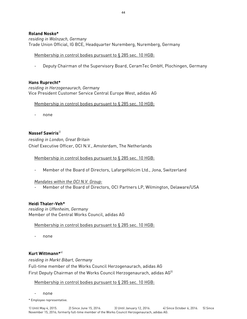# **Roland Nosko\***

*residing in Wolnzach, Germany*  Trade Union Official, IG BCE, Headquarter Nuremberg, Nuremberg, Germany

# Membership in control bodies pursuant to § 285 sec. 10 HGB:

- Deputy Chairman of the Supervisory Board, CeramTec GmbH, Plochingen, Germany

# **Hans Ruprecht\***

*residing in Herzogenaurach, Germany*  Vice President Customer Service Central Europe West, adidas AG

Membership in control bodies pursuant to § 285 sec. 10 HGB:

none

# **Nassef Sawiris**2)

*residing in London, Great Britain*  Chief Executive Officer, OCI N.V., Amsterdam, The Netherlands

# Membership in control bodies pursuant to § 285 sec. 10 HGB:

Member of the Board of Directors, LafargeHolcim Ltd., Jona, Switzerland

# *Mandates within the OCI N.V. Group:*

Member of the Board of Directors, OCI Partners LP, Wilmington, Delaware/USA

# **Heidi Thaler-Veh\***

*residing in Uffenheim, Germany*  Member of the Central Works Council, adidas AG

# Membership in control bodies pursuant to § 285 sec. 10 HGB:

none

# **Kurt Wittmann\***4)

*residing in Markt Bibart, Germany* 

Full-time member of the Works Council Herzogenaurach, adidas AG First Deputy Chairman of the Works Council Herzogenaurach, adidas AG<sup>51</sup>

# Membership in control bodies pursuant to § 285 sec. 10 HGB:

none

\* Employee representative.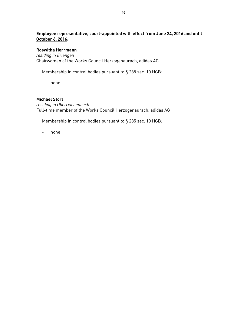# **Employee representative, court-appointed with effect from June 24, 2016 and until October 6, 2016:**

# **Roswitha Herrmann**

*residing in Erlangen*  Chairwoman of the Works Council Herzogenaurach, adidas AG

Membership in control bodies pursuant to § 285 sec. 10 HGB:

- none

# **Michael Storl**

*residing in Oberreichenbach*  Full-time member of the Works Council Herzogenaurach, adidas AG

# Membership in control bodies pursuant to § 285 sec. 10 HGB:

- none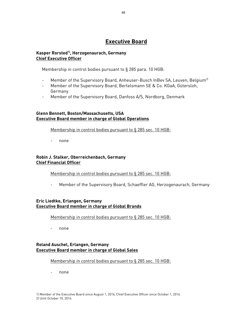# **Executive Board**

# **Kasper Rorsted1), Herzogenaurach, Germany Chief Executive Officer**

Membership in control bodies pursuant to § 285 para. 10 HGB:

- Member of the Supervisory Board, Anheuser-Busch InBev SA, Leuven, Belgium<sup>2)</sup>
- Member of the Supervisory Board, Bertelsmann SE & Co. KGaA, Gütersloh, Germany
- Member of the Supervisory Board, Danfoss A/S, Nordborg, Denmark

# **Glenn Bennett, Boston/Massachusetts, USA Executive Board member in charge of Global Operations**

Membership in control bodies pursuant to § 285 sec. 10 HGB:

- none

# **Robin J. Stalker, Oberreichenbach, Germany Chief Financial Officer**

Membership in control bodies pursuant to § 285 sec. 10 HGB:

- Member of the Supervisory Board, Schaeffler AG, Herzogenaurach, Germany

# **Eric Liedtke, Erlangen, Germany Executive Board member in charge of Global Brands**

# Membership in control bodies pursuant to § 285 sec. 10 HGB:

- none

# **Roland Auschel, Erlangen, Germany Executive Board member in charge of Global Sales**

# Membership in control bodies pursuant to § 285 sec. 10 HGB:

none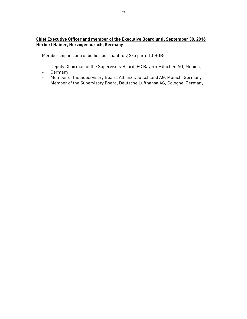# **Chief Executive Officer and member of the Executive Board until September 30, 2016 Herbert Hainer, Herzogenaurach, Germany**

Membership in control bodies pursuant to § 285 para. 10 HGB:

- Deputy Chairman of the Supervisory Board, FC Bayern München AG, Munich,
- Germany
- Member of the Supervisory Board, Allianz Deutschland AG, Munich, Germany
- Member of the Supervisory Board, Deutsche Lufthansa AG, Cologne, Germany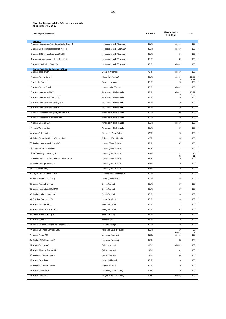| <b>Company and Domicile</b>                              |                                | Currency   | Share in capital<br>held by 1) | in %                          |
|----------------------------------------------------------|--------------------------------|------------|--------------------------------|-------------------------------|
| Germany<br>1 adidas Insurance & Risk Consultants GmbH 2) | Herzogenaurach (Germany)       | <b>EUR</b> | directly                       | 100                           |
| 2 adidas Beteiligungsgesellschaft mbH 2)                 | Herzogenaurach (Germany)       | <b>EUR</b> | directly                       | 100                           |
| 3 adidas CDC Immobilieninvest GmbH                       | Herzogenaurach (Germany)       | <b>EUR</b> | 14                             | 100                           |
| 4 adidas Verwaltungsgesellschaft mbH 3)                  | Herzogenaurach (Germany)       | <b>EUR</b> | 89                             | 100                           |
| 5 adidas anticipation GmbH 2)                            | Herzogenaurach (Germany)       | <b>EUR</b> | directly                       | 100                           |
| <b>Europe (incl. Middle East and Africa)</b>             |                                |            |                                |                               |
| 6 adidas sport gmbh                                      | Cham (Switzerland)             | CHF        | directly                       | 100                           |
| 7 adidas Austria GmbH                                    | Klagenfurt (Austria)           | <b>EUR</b> | directly<br>6                  | 95,89<br>4,11                 |
| 8 runtastic GmbH                                         | Pasching (Austria)             | <b>EUR</b> | 10                             | 100                           |
| 9 adidas France S.a.r.l.                                 | Landersheim (France)           | <b>EUR</b> | directly                       | 100                           |
| 10 adidas International B.V.                             | Amsterdam (Netherlands)        | <b>EUR</b> | directly<br>9                  | 93,97<br>6,03                 |
| 11 adidas International Trading B.V.                     | Amsterdam (Netherlands)        | <b>EUR</b> | 10                             | 100                           |
| 12 adidas International Marketing B.V.                   | Amsterdam (Netherlands)        | <b>EUR</b> | 10                             | 100                           |
| 13 adidas International Finance B.V.                     | Amsterdam (Netherlands)        | <b>EUR</b> | 10                             | 100                           |
| 14 adidas International Property Holding B.V.            | Amsterdam (Netherlands)        | <b>EUR</b> | 100                            | 100                           |
| 15 adidas Infrastructure Holding B.V.                    | Amsterdam (Netherlands)        | <b>EUR</b> | 10                             | 100                           |
| 16 adidas Benelux B.V.                                   | Amsterdam (Netherlands)        | <b>EUR</b> | directly                       | 100                           |
| 17 Hydra Ventures B.V.                                   | Amsterdam (Netherlands)        | <b>EUR</b> | 10                             | 100                           |
| 18 adidas (UK) Limited                                   | Stockport (Great Britain)      | GBP        | 10                             | 100                           |
| 19 Refuel (Brand Distribution) Limited 4)                | Aylesbury (Great Britain)      | GBP        | 20                             | 100                           |
| 20 Reebok International Limited 8)                       | London (Great Britain)         | <b>EUR</b> | 87                             | 100                           |
| 21 Trafford Park DC Limited                              | London (Great Britain)         | GBP        | 15                             | 100                           |
| 22 RBK Holdings Limited 3) 8)                            | London (Great Britain)         | GBP        | 87<br>81                       | 89<br>11                      |
| 23 Reebok Pensions Management Limited 3) 8)              | London (Great Britain)         | GBP        | 20                             | 100                           |
| 24 Reebok Europe Holdings                                | London (Great Britain)         | GBP        | 20                             | 100                           |
| 25 Luta Limited 3) 8)                                    | London (Great Britain)         | GBP        | 20                             | 100                           |
| 26 Taylor Made Golf Limited 10)                          | Basingstoke (Great Britain)    | GBP        | 10                             | 100                           |
| 27 Ashworth U.K. Ltd. 3) 10)                             | <b>Bristol (Great Britain)</b> | GBP        | 26                             | 100                           |
| 28 adidas (Ireland) Limited                              | Dublin (Ireland)               | <b>EUR</b> | 10                             | 100                           |
| 29 adidas International Re DAC                           | Dublin (Ireland)               | <b>EUR</b> | 10                             | 100                           |
| 30 Reebok Ireland Limited 3)                             | Dublin (Ireland)               | <b>EUR</b> | 28                             | 100                           |
| 31 Five Ten Europe NV 3)                                 | Lasne (Belgium)                | FUK        | 90                             | 100                           |
| 32 adidas España S.A.U.                                  | Zaragoza (Spain)               | <b>EUR</b> | $\boldsymbol{2}$               | 100                           |
| 33 adidas Finance Spain S.A.U.                           | Zaragoza (Spain)               | <b>EUR</b> | 87                             | 100                           |
| 34 Global Merchandising, S.L.                            | Madrid (Spain)                 | <b>EUR</b> | 10                             | 100                           |
| 35 adidas Italy S.p.A.                                   | Monza (Italy)                  | <b>EUR</b> | 10                             | 100                           |
| 36 adidas Portugal - Artigos de Desporto, S.A.           | Lisbon (Portugal)              | <b>EUR</b> | 10                             | 100                           |
| 37 adidas Business Services Lda.                         | Morea de Maia (Portugal)       | <b>EUR</b> | 10<br>directly                 | 98<br>$\overline{\mathbf{c}}$ |
| 38 adidas Norge AS                                       | Lillestrom (Norway)            | <b>NOK</b> | directly                       | 100                           |
| 39 Reebok-CCM Hockey AS                                  | Lillestrom (Norway)            | <b>NOK</b> | 38                             | 100                           |
| 40 adidas Sverige AB                                     | Solna (Sweden)                 | <b>SEK</b> | directly                       | 100                           |
| 41 adidas Finance Sverige AB                             | Solna (Sweden)                 | <b>SEK</b> | 89                             | 100                           |
| 42 Reebok-CCM Hockey AB                                  | Solna (Sweden)                 | <b>SEK</b> | 40                             | 100                           |
| 43 adidas Suomi Oy                                       | Helsinki (Finland)             | <b>EUR</b> | 10                             | 100                           |
| 44 Reebok-CCM Hockey Oy                                  | Espoo (Finland)                | <b>EUR</b> | 10                             | 100                           |
| 45 adidas Danmark A/S                                    | Copenhagen (Denmark)           | <b>DKK</b> | 10                             | 100                           |
| 46 adidas CR s.r.o.                                      | Prague (Czech Republic)        | CZK        | directly                       | 100                           |
|                                                          |                                |            |                                |                               |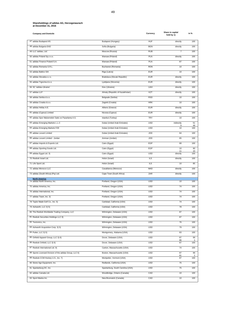| <b>Company and Domicile</b>                             |                                   | Currency   | Share in capital<br>held by 1) | in %      |
|---------------------------------------------------------|-----------------------------------|------------|--------------------------------|-----------|
| 47 adidas Budapest Kft.                                 | Budapest (Hungary)                | <b>HUF</b> | directly                       | 100       |
| 48 adidas Bulgaria EAD                                  | Sofia (Bulgaria)                  | <b>BGN</b> | directly                       | 100       |
| 49 LLC 'adidas, Ltd.'                                   | Moscow (Russia)                   | <b>RUB</b> | $\overline{7}$                 | 100       |
| 50 adidas Poland Sp.z o.o.                              | Warsaw (Poland)                   | PLN        | directly                       | 100       |
| 51 adidas Finance Poland S.A.                           | Warsaw (Poland)                   | <b>PLN</b> | 87                             | 100       |
| 52 adidas Romania S.R.L.                                | Bucharest (Romania)               | <b>RON</b> | 10                             | 100       |
| 53 adidas Baltics SIA                                   | Riga (Latvia)                     | <b>EUR</b> | 10                             | 100       |
| 54 adidas Slovakia s.r.o.                               | Bratislava (Slovak Republic)      | <b>EUR</b> | directly                       | 100       |
| 55 adidas Trgovina d.o.o.                               | Ljubljana (Slovenia)              | <b>EUR</b> | directly                       | 100       |
| 56 SC 'adidas-Ukraine'                                  | Kiev (Ukraine)                    | <b>UAH</b> | directly                       | 100       |
| 57 adidas LLP                                           | Almaty (Republic of Kazakhstan)   | KZT        | directly                       | 100       |
| 58 adidas Serbia d.o.o.                                 | Belgrade (Serbia)                 | <b>RSD</b> | 10                             | 100       |
| 59 adidas Croatia d.o.o.                                | Zagreb (Croatia)                  | <b>HRK</b> | 10                             | 100       |
| 60 adidas Hellas A.E.                                   | Athens (Greece)                   | <b>EUR</b> | directly                       | 100       |
| 61 adidas (Cyprus) Limited                              | Nicosia (Cyprus)                  | <b>EUR</b> | directly                       | 100       |
| 62 adidas Spor Malzemeleri Satis ve Pazarlama A.S.      | Istanbul (Turkey)                 | <b>TRY</b> | 10                             | 100       |
| 63 adidas Emerging Markets L.L.C                        | Dubai (United Arab Emirates)      | <b>USD</b> | indirectly                     | 51        |
| 64 adidas Emerging Markets FZE                          | Dubai (United Arab Emirates)      | <b>USD</b> | 9<br>10                        | 49<br>100 |
| 65 adidas Levant Limited                                | Dubai (United Arab Emirates)      | <b>JOD</b> | 64                             | 100       |
| 66 adidas Levant Limited - Jordan                       | Amman (Jordan)                    | <b>JOD</b> | 65                             | 100       |
| 67 adidas Imports & Exports Ltd.                        | Cairo (Egypt)                     | EGP        | 68                             | 100       |
| 68 adidas Sporting Goods Ltd.                           | Cairo (Egypt)                     | EGP        | 10                             | 90        |
| 69 adidas Egypt Ltd. 3)                                 | Cairo (Egypt)                     | <b>USD</b> | 11<br>directly                 | 10<br>100 |
| 70 Reebok Israel Ltd.                                   | Holon (Israel)                    | <b>ILS</b> | directly                       | 100       |
| 71 Life Sport Ltd.                                      | Holon (Israel)                    | <b>ILS</b> | 10                             | 85        |
| 72 adidas Morocco LLC                                   | Casablanca (Morocco)              | MAD        | directly                       | 100       |
| 73 adidas (South Africa) (Pty) Ltd.                     | Cape Town (South Africa)          | ZAR        | directly                       | 100       |
| <b>North America</b><br>74 adidas North America, Inc.   | Portland, Oregon (USA)            | <b>USD</b> | 10                             | 100       |
| 75 adidas America, Inc.                                 |                                   | <b>USD</b> | 74                             | 100       |
| 76 adidas International, Inc.                           | Portland, Oregon (USA)            |            |                                |           |
|                                                         | Portland, Oregon (USA)            | <b>USD</b> | 74                             | 100       |
| 77 adidas Team, Inc. 3)                                 | Portland, Oregon (USA)            | <b>USD</b> | 74                             | 100       |
| 78 Taylor Made Golf Co., Inc. 5)                        | Carlsbad, California (USA)        | <b>USD</b> | 74                             | 100       |
| 79 Ashworth, LLC 3) 5)                                  | Carlsbad, California (USA)        | <b>USD</b> | 78                             | 100       |
| 80 The Reebok Worldwide Trading Company, LLC            | Wilmington, Delaware (USA)        | <b>USD</b> | 87                             | 100       |
| 81 Reebok Securities Holdings LLC 9)                    | Wilmington, Delaware (USA)        | <b>USD</b> | 87                             | 100       |
| 82 Textronics, Inc.                                     | Wilmington, Delaware (USA)        | <b>USD</b> | 76                             | 100       |
| 83 Ashworth Acquisition Corp. 3) 5)                     | Wilmington, Delaware (USA)        | <b>USD</b> | 79                             | 100       |
| 84 Putter, LLC 3) 5)                                    | Montgomery, Alabama (USA)         | <b>USD</b> | 83                             | 100       |
| 85 Onfield Apparel Group, LLC 3) 6)                     | Dover, Delaware (USA)             | <b>USD</b> | 87<br>86                       | 99<br>1   |
| 86 Reebok Onfield, LLC 3) 6)                            | Dover, Delaware (USA)             | <b>USD</b> | 87                             | 100       |
| 87 Reebok International Ltd. 9)                         | Canton, Massachusetts (USA)       | <b>USD</b> | 74                             | 100       |
| 88 Sports Licensed Division of the adidas Group, LLC 6) | Boston, Massachusetts (USA)       | <b>USD</b> | 87<br>81                       | 99<br>1   |
| 89 Reebok-CCM Hockey U.S., Inc. 7)                      | Montpelier, Vermont (USA)         | <b>USD</b> | 87                             | 100       |
| 90 Stone Age Equipment, Inc.                            | Redlands, California (USA)        | <b>USD</b> | 75                             | 100       |
| 91 Spartanburg DC, Inc.                                 | Spartanburg, South Carolina (USA) | <b>USD</b> | 75                             | 100       |
| 92 adidas Canada Ltd.                                   | Woodbridge, Ontario (Canada)      | CAD        | 10                             | 100       |
| 93 Sport Maska Inc.                                     | New Brunswick (Canada)            | CAD        | 10                             | 100       |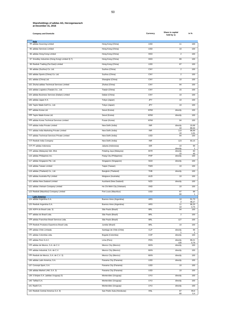| <b>Company and Domicile</b>                       |                            | Currency   | Share in capital<br>held by 1) | in %               |
|---------------------------------------------------|----------------------------|------------|--------------------------------|--------------------|
| Asia<br>94 adidas Sourcing Limited                | Hong Kong (China)          | <b>USD</b> | 11                             | 100                |
| 95 adidas Services Limited                        | Hong Kong (China)          | <b>USD</b> | 10                             | 100                |
| 96 adidas Hong Kong Limited                       | Hong Kong (China)          | <b>HKD</b> | $\overline{2}$                 | 100                |
| 97 Smedley Industries (Hong Kong) Limited 3) 7)   | Hong Kong (China)          | <b>HKD</b> | 89                             | 100                |
| 98 Reebok Trading (Far East) Limited              | Hong Kong (China)          | <b>USD</b> | 87                             | 100                |
| 99 adidas (Suzhou) Co. Ltd.                       | Suzhou (China)             | CNY        | $\overline{2}$                 | 100                |
| 100 adidas Sports (China) Co. Ltd.                | Suzhou (China)             | CNY        | $\overline{c}$                 | 100                |
| 101 adidas (China) Ltd.                           | Shanghai (China)           | CNY        | 10                             | 100                |
| 102 Zhuhai adidas Technical Services Limited      | Zhuhai (China)             | CNY        | 94                             | 100                |
| 103 adidas Logistics (Tianjin) Co., Ltd.          | Tianjin (China)            | CNY        | 15                             | 100                |
| 104 adidas Business Services (Dalian) Limited     | Dalian (China)             | CNY        | 10                             | 100                |
| 105 adidas Japan K.K.                             | Tokyo (Japan)              | JPY        | 10                             | 100                |
| 106 Taylor Made Golf Co., Ltd.                    | Tokyo (Japan)              | JPY        | 10                             | 100                |
| 107 adidas Korea Ltd.                             | Seoul (Korea)              | <b>KRW</b> | directly                       | 100                |
| 108 Taylor Made Korea Ltd.                        | Seoul (Korea)              | <b>KRW</b> | directly                       | 100                |
| 109 adidas Korea Technical Services Limited       | Pusan (Korea)              | <b>KRW</b> | 94                             | 100                |
| 110 adidas India Private Limited                  | New Delhi (India)          | <b>INR</b> | directly                       | 10,68              |
| 111 adidas India Marketing Private Limited        | New Delhi (India)          | <b>INR</b> | 10<br>110                      | 89,32<br>98,99     |
| 112 adidas Technical Services Private Limited     | New Delhi (India)          | <b>USD</b> | 10<br>94                       | 1,01<br>100        |
| 113 Reebok India Company                          | New Delhi (India)          | <b>INR</b> | 123                            | 93,15              |
| 114 PT adidas Indonesia                           | Jakarta (Indonesia)        | <b>IDR</b> | 10<br>directly                 | 99<br>1            |
| 115 adidas (Malaysia) Sdn. Bhd.                   | Petaling Jaya (Malaysia)   | <b>MYR</b> | directly<br>10                 | 60<br>40           |
| 116 adidas Philippines Inc.                       | Pasig City (Philippines)   | PHP        | directly                       | 100                |
| 117 adidas Singapore Pte. Ltd.                    | Singapore (Singapore)      | SGD        | directly                       | 100                |
| 118 adidas Taiwan Limited                         | Taipei (Taiwan)            | <b>TWD</b> | 10                             | 100                |
| 119 adidas (Thailand) Co., Ltd.                   | Bangkok (Thailand)         | THB        | directly                       | 100                |
| 120 adidas Australia Pty Limited                  | Mulgrave (Australia)       | <b>AUD</b> | 10                             | 100                |
| 121 adidas New Zealand Limited                    | Auckland (New Zealand)     | <b>NZD</b> | directly                       | 100                |
| 122 adidas Vietnam Company Limited                | Ho Chi Minh City (Vietnam) | <b>VND</b> | 10                             | 100                |
| 123 Reebok (Mauritius) Company Limited            | Port Louis (Mauritius)     | <b>USD</b> | 87<br>80                       | 99<br>$\mathbf{1}$ |
| <b>Latin America</b><br>124 adidas Argentina S.A. | Buenos Aires (Argentina)   | ARS        | 10                             | 51,73              |
| 125 Reebok Argentina S.A.                         | Buenos Aires (Argentina)   | ARS        | 11                             | 48,27<br>96,25     |
| 126 ASPA do Brasil Ltda. 3)                       | São Paulo (Brazil)         | <b>BRL</b> | 10<br>94                       | 3,75<br>100        |
| 127 adidas do Brasil Ltda.                        | São Paulo (Brazil)         | <b>BRL</b> | $\overline{2}$                 | 100                |
| 128 adidas Franchise Brasil Servicos Ltda.        | São Paulo (Brazil)         | <b>BRL</b> | 127                            | 100                |
| 129 Reebok Produtos Esportivos Brasil Ltda.       | Jundiaí (Brazil)           | <b>BRL</b> | 10                             | 100                |
| 130 adidas Chile Limitada                         | Santiago de Chile (Chile)  | <b>CLP</b> | directly                       | 99                 |
| 131 adidas Colombia Ltda.                         | Bogotá (Colombia)          | COP        | directly                       | 1<br>100           |
| 132 adidas Perú S.A.C.                            | Lima (Peru)                | PEN        | directly                       | 99,21              |
| 133 adidas de Mexico, S.A. de C.V.                | Mexico City (Mexico)       | <b>MXN</b> | 130<br>directly                | 0,79<br>100        |
| 134 adidas Industrial, S.A. de C.V.               | Mexico City (Mexico)       | <b>MXN</b> | directly                       | 100                |
| 135 Reebok de Mexico, S.A. de C.V. 3)             | Mexico City (Mexico)       | <b>MXN</b> | directly                       | 100                |
| 136 adidas Latin America, S.A.                    | Panama City (Panama)       | <b>USD</b> | directly                       | 100                |
| 137 Concept Sport, S.A.                           | Panama City (Panama)       | <b>USD</b> | 10                             | 100                |
| 138 adidas Market LAM, S.A. 3)                    | Panama City (Panama)       | <b>USD</b> | 10                             | 100                |
| 139 3 Stripes S.A. (adidas Uruguay) 3)            | Montevideo (Uruguay)       | <b>UYU</b> | directly                       | 100                |
| 140 Tafibal S.A.                                  | Montevideo (Uruguay)       | <b>UYU</b> | directly                       | 100                |
| 141 Raelit S.A.                                   | Montevideo (Uruguay)       | <b>UYU</b> | directly                       | 100                |
| 142 Reebok Central America S.A. 9)                | San Pedro Sula (Honduras)  | <b>HNL</b> | 87                             | 99,6               |
|                                                   |                            |            | 80                             | 0,4                |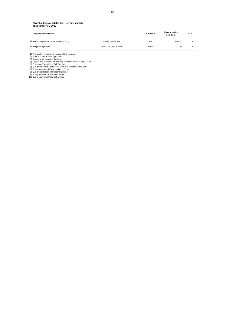| <b>Company and Domicile</b>                  |                        | Currency   | Share in capital<br>held by 1) | in % |
|----------------------------------------------|------------------------|------------|--------------------------------|------|
| 143 adidas Corporation de Venezuela, S.A. 3) | Caracas (Venezuela)    | VEF        | directly                       | 100  |
| 144 adisport Corporation                     | San Juan (Puerto Rico) | <b>USD</b> |                                | 100  |

1) The number refers to the number of the company<br>
2) Profit and loss transfer agreement<br>
3) Company with no active business<br>
4) Legal owner of the shares with loss of control effective July 1, 2016<br>
5) Sub-group Taylor Ma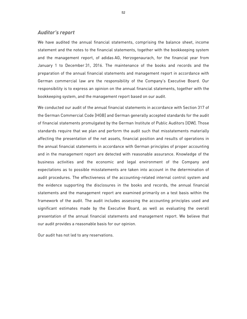# *Auditor's report*

We have audited the annual financial statements, comprising the balance sheet, income statement and the notes to the financial statements, together with the bookkeeping system and the management report, of adidas AG, Herzogenaurach, for the financial year from January 1 to December 31, 2016. The maintenance of the books and records and the preparation of the annual financial statements and management report in accordance with German commercial law are the responsibility of the Company's Executive Board. Our responsibility is to express an opinion on the annual financial statements, together with the bookkeeping system, and the management report based on our audit.

We conducted our audit of the annual financial statements in accordance with Section 317 of the German Commercial Code [HGB] and German generally accepted standards for the audit of financial statements promulgated by the German Institute of Public Auditors [IDW]. Those standards require that we plan and perform the audit such that misstatements materially affecting the presentation of the net assets, financial position and results of operations in the annual financial statements in accordance with German principles of proper accounting and in the management report are detected with reasonable assurance. Knowledge of the business activities and the economic and legal environment of the Company and expectations as to possible misstatements are taken into account in the determination of audit procedures. The effectiveness of the accounting-related internal control system and the evidence supporting the disclosures in the books and records, the annual financial statements and the management report are examined primarily on a test basis within the framework of the audit. The audit includes assessing the accounting principles used and significant estimates made by the Executive Board, as well as evaluating the overall presentation of the annual financial statements and management report. We believe that our audit provides a reasonable basis for our opinion.

Our audit has not led to any reservations.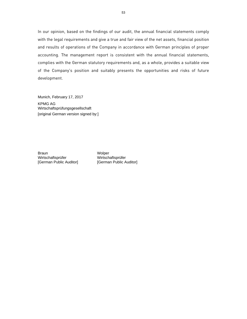In our opinion, based on the findings of our audit, the annual financial statements comply with the legal requirements and give a true and fair view of the net assets, financial position and results of operations of the Company in accordance with German principles of proper accounting. The management report is consistent with the annual financial statements, complies with the German statutory requirements and, as a whole, provides a suitable view of the Company's position and suitably presents the opportunities and risks of future development.

Munich, February 17, 2017 KPMG AG Wirtschaftsprüfungsgesellschaft [original German version signed by:]

Braun Wirtschaftsprüfer [German Public Auditor]

Wolper Wirtschaftsprüfer [German Public Auditor]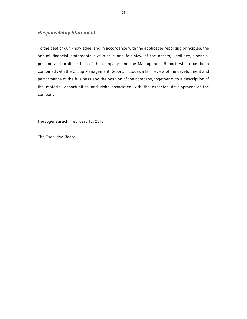# *Responsibility Statement*

To the best of our knowledge, and in accordance with the applicable reporting principles, the annual financial statements give a true and fair view of the assets, liabilities, financial position and profit or loss of the company, and the Management Report, which has been combined with the Group Management Report, includes a fair review of the development and performance of the business and the position of the company, together with a description of the material opportunities and risks associated with the expected development of the company.

Herzogenaurach, February 17, 2017

The Executive Board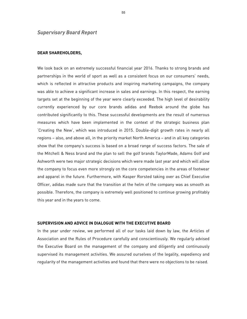# *Supervisory Board Report*

### **DEAR SHAREHOLDERS,**

We look back on an extremely successful financial year 2016. Thanks to strong brands and partnerships in the world of sport as well as a consistent focus on our consumers' needs, which is reflected in attractive products and inspiring marketing campaigns, the company was able to achieve a significant increase in sales and earnings. In this respect, the earning targets set at the beginning of the year were clearly exceeded. The high level of desirability currently experienced by our core brands adidas and Reebok around the globe has contributed significantly to this. These successful developments are the result of numerous measures which have been implemented in the context of the strategic business plan 'Creating the New', which was introduced in 2015. Double-digit growth rates in nearly all regions – also, and above all, in the priority market North America – and in all key categories show that the company's success is based on a broad range of success factors. The sale of the Mitchell & Ness brand and the plan to sell the golf brands TaylorMade, Adams Golf and Ashworth were two major strategic decisions which were made last year and which will allow the company to focus even more strongly on the core competencies in the areas of footwear and apparel in the future. Furthermore, with Kasper Rorsted taking over as Chief Executive Officer, adidas made sure that the transition at the helm of the company was as smooth as possible. Therefore, the company is extremely well positioned to continue growing profitably this year and in the years to come.

#### **SUPERVISION AND ADVICE IN DIALOGUE WITH THE EXECUTIVE BOARD**

In the year under review, we performed all of our tasks laid down by law, the Articles of Association and the Rules of Procedure carefully and conscientiously. We regularly advised the Executive Board on the management of the company and diligently and continuously supervised its management activities. We assured ourselves of the legality, expediency and regularity of the management activities and found that there were no objections to be raised.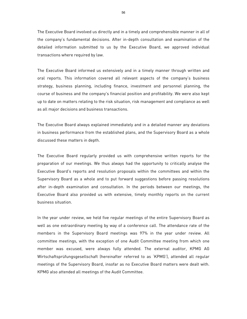The Executive Board involved us directly and in a timely and comprehensible manner in all of the company's fundamental decisions. After in-depth consultation and examination of the detailed information submitted to us by the Executive Board, we approved individual transactions where required by law.

The Executive Board informed us extensively and in a timely manner through written and oral reports. This information covered all relevant aspects of the company's business strategy, business planning, including finance, investment and personnel planning, the course of business and the company's financial position and profitability. We were also kept up to date on matters relating to the risk situation, risk management and compliance as well as all major decisions and business transactions.

The Executive Board always explained immediately and in a detailed manner any deviations in business performance from the established plans, and the Supervisory Board as a whole discussed these matters in depth.

The Executive Board regularly provided us with comprehensive written reports for the preparation of our meetings. We thus always had the opportunity to critically analyse the Executive Board's reports and resolution proposals within the committees and within the Supervisory Board as a whole and to put forward suggestions before passing resolutions after in-depth examination and consultation. In the periods between our meetings, the Executive Board also provided us with extensive, timely monthly reports on the current business situation.

In the year under review, we held five regular meetings of the entire Supervisory Board as well as one extraordinary meeting by way of a conference call. The attendance rate of the members in the Supervisory Board meetings was 97% in the year under review. All committee meetings, with the exception of one Audit Committee meeting from which one member was excused, were always fully attended. The external auditor, KPMG AG Wirtschaftsprüfungsgesellschaft (hereinafter referred to as 'KPMG'), attended all regular meetings of the Supervisory Board, insofar as no Executive Board matters were dealt with. KPMG also attended all meetings of the Audit Committee.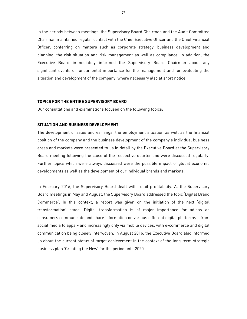In the periods between meetings, the Supervisory Board Chairman and the Audit Committee Chairman maintained regular contact with the Chief Executive Officer and the Chief Financial Officer, conferring on matters such as corporate strategy, business development and planning, the risk situation and risk management as well as compliance. In addition, the Executive Board immediately informed the Supervisory Board Chairman about any significant events of fundamental importance for the management and for evaluating the situation and development of the company, where necessary also at short notice.

#### **TOPICS FOR THE ENTIRE SUPERVISORY BOARD**

Our consultations and examinations focused on the following topics:

### **SITUATION AND BUSINESS DEVELOPMENT**

The development of sales and earnings, the employment situation as well as the financial position of the company and the business development of the company's individual business areas and markets were presented to us in detail by the Executive Board at the Supervisory Board meeting following the close of the respective quarter and were discussed regularly. Further topics which were always discussed were the possible impact of global economic developments as well as the development of our individual brands and markets.

In February 2016, the Supervisory Board dealt with retail profitability. At the Supervisory Board meetings in May and August, the Supervisory Board addressed the topic 'Digital Brand Commerce'. In this context, a report was given on the initiation of the next 'digital transformation' stage. Digital transformation is of major importance for adidas as consumers communicate and share information on various different digital platforms – from social media to apps – and increasingly only via mobile devices, with e-commerce and digital communication being closely interwoven. In August 2016, the Executive Board also informed us about the current status of target achievement in the context of the long-term strategic business plan 'Creating the New' for the period until 2020.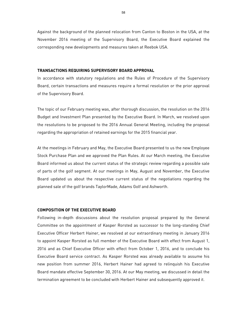Against the background of the planned relocation from Canton to Boston in the USA, at the November 2016 meeting of the Supervisory Board, the Executive Board explained the corresponding new developments and measures taken at Reebok USA.

#### **TRANSACTIONS REQUIRING SUPERVISORY BOARD APPROVAL**

In accordance with statutory regulations and the Rules of Procedure of the Supervisory Board, certain transactions and measures require a formal resolution or the prior approval of the Supervisory Board.

The topic of our February meeting was, after thorough discussion, the resolution on the 2016 Budget and Investment Plan presented by the Executive Board. In March, we resolved upon the resolutions to be proposed to the 2016 Annual General Meeting, including the proposal regarding the appropriation of retained earnings for the 2015 financial year.

At the meetings in February and May, the Executive Board presented to us the new Employee Stock Purchase Plan and we approved the Plan Rules. At our March meeting, the Executive Board informed us about the current status of the strategic review regarding a possible sale of parts of the golf segment. At our meetings in May, August and November, the Executive Board updated us about the respective current status of the negotiations regarding the planned sale of the golf brands TaylorMade, Adams Golf and Ashworth.

#### **COMPOSITION OF THE EXECUTIVE BOARD**

Following in-depth discussions about the resolution proposal prepared by the General Committee on the appointment of Kasper Rorsted as successor to the long-standing Chief Executive Officer Herbert Hainer, we resolved at our extraordinary meeting in January 2016 to appoint Kasper Rorsted as full member of the Executive Board with effect from August 1, 2016 and as Chief Executive Officer with effect from October 1, 2016, and to conclude his Executive Board service contract. As Kasper Rorsted was already available to assume his new position from summer 2016, Herbert Hainer had agreed to relinquish his Executive Board mandate effective September 30, 2016. At our May meeting, we discussed in detail the termination agreement to be concluded with Herbert Hainer and subsequently approved it.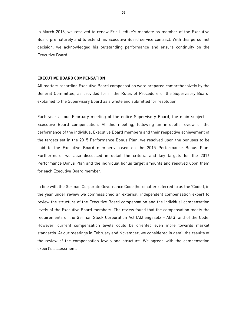In March 2016, we resolved to renew Eric Liedtke's mandate as member of the Executive Board prematurely and to extend his Executive Board service contract. With this personnel decision, we acknowledged his outstanding performance and ensure continuity on the Executive Board.

#### **EXECUTIVE BOARD COMPENSATION**

All matters regarding Executive Board compensation were prepared comprehensively by the General Committee, as provided for in the Rules of Procedure of the Supervisory Board, explained to the Supervisory Board as a whole and submitted for resolution.

Each year at our February meeting of the entire Supervisory Board, the main subject is Executive Board compensation. At this meeting, following an in-depth review of the performance of the individual Executive Board members and their respective achievement of the targets set in the 2015 Performance Bonus Plan, we resolved upon the bonuses to be paid to the Executive Board members based on the 2015 Performance Bonus Plan. Furthermore, we also discussed in detail the criteria and key targets for the 2016 Performance Bonus Plan and the individual bonus target amounts and resolved upon them for each Executive Board member.

In line with the German Corporate Governance Code (hereinafter referred to as the 'Code'), in the year under review we commissioned an external, independent compensation expert to review the structure of the Executive Board compensation and the individual compensation levels of the Executive Board members. The review found that the compensation meets the requirements of the German Stock Corporation Act (Aktiengesetz – AktG) and of the Code. However, current compensation levels could be oriented even more towards market standards. At our meetings in February and November, we considered in detail the results of the review of the compensation levels and structure. We agreed with the compensation expert's assessment.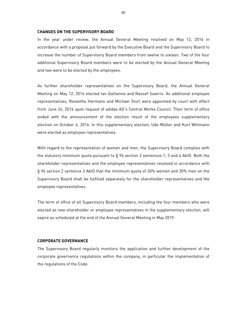#### **CHANGES ON THE SUPERVISORY BOARD**

In the year under review, the Annual General Meeting resolved on May 12, 2016 in accordance with a proposal put forward by the Executive Board and the Supervisory Board to increase the number of Supervisory Board members from twelve to sixteen. Two of the four additional Supervisory Board members were to be elected by the Annual General Meeting and two were to be elected by the employees.

As further shareholder representatives on the Supervisory Board, the Annual General Meeting on May 12, 2016 elected Ian Gallienne and Nassef Sawiris. As additional employee representatives, Roswitha Hermann and Michael Storl were appointed by court with effect from June 24, 2016 upon request of adidas AG's Central Works Council. Their term of office ended with the announcement of the election result of the employees supplementary election on October 6, 2016. In this supplementary election, Udo Müller and Kurt Wittmann were elected as employee representatives.

With regard to the representation of women and men, the Supervisory Board complies with the statutory minimum quota pursuant to § 96 section 2 sentences 1, 3 and 4 AktG. Both the shareholder representatives and the employee representatives resolved in accordance with § 96 section 2 sentence 3 AktG that the minimum quota of 30% women and 30% men on the Supervisory Board shall be fulfilled separately for the shareholder representatives and the employee representatives.

The term of office of all Supervisory Board members, including the four members who were elected as new shareholder or employee representatives in the supplementary election, will expire as scheduled at the end of the Annual General Meeting in May 2019.

#### **CORPORATE GOVERNANCE**

The Supervisory Board regularly monitors the application and further development of the corporate governance regulations within the company, in particular the implementation of the regulations of the Code.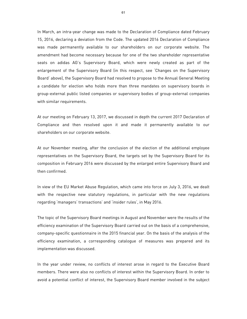In March, an intra-year change was made to the Declaration of Compliance dated February 15, 2016, declaring a deviation from the Code. The updated 2016 Declaration of Compliance was made permanently available to our shareholders on our corporate website. The amendment had become necessary because for one of the two shareholder representative seats on adidas AG's Supervisory Board, which were newly created as part of the enlargement of the Supervisory Board (in this respect, see 'Changes on the Supervisory Board' above), the Supervisory Board had resolved to propose to the Annual General Meeting a candidate for election who holds more than three mandates on supervisory boards in group-external public listed companies or supervisory bodies of group-external companies with similar requirements.

At our meeting on February 13, 2017, we discussed in depth the current 2017 Declaration of Compliance and then resolved upon it and made it permanently available to our shareholders on our corporate website.

At our November meeting, after the conclusion of the election of the additional employee representatives on the Supervisory Board, the targets set by the Supervisory Board for its composition in February 2016 were discussed by the enlarged entire Supervisory Board and then confirmed.

In view of the EU Market Abuse Regulation, which came into force on July 3, 2016, we dealt with the respective new statutory regulations, in particular with the new regulations regarding 'managers' transactions' and 'insider rules', in May 2016.

The topic of the Supervisory Board meetings in August and November were the results of the efficiency examination of the Supervisory Board carried out on the basis of a comprehensive, company-specific questionnaire in the 2015 financial year. On the basis of the analysis of the efficiency examination, a corresponding catalogue of measures was prepared and its implementation was discussed.

In the year under review, no conflicts of interest arose in regard to the Executive Board members. There were also no conflicts of interest within the Supervisory Board. In order to avoid a potential conflict of interest, the Supervisory Board member involved in the subject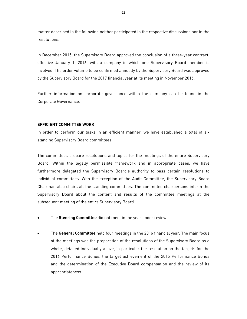matter described in the following neither participated in the respective discussions nor in the resolutions.

In December 2015, the Supervisory Board approved the conclusion of a three-year contract, effective January 1, 2016, with a company in which one Supervisory Board member is involved. The order volume to be confirmed annually by the Supervisory Board was approved by the Supervisory Board for the 2017 financial year at its meeting in November 2016.

Further information on corporate governance within the company can be found in the Corporate Governance.

#### **EFFICIENT COMMITTEE WORK**

In order to perform our tasks in an efficient manner, we have established a total of six standing Supervisory Board committees.

The committees prepare resolutions and topics for the meetings of the entire Supervisory Board. Within the legally permissible framework and in appropriate cases, we have furthermore delegated the Supervisory Board's authority to pass certain resolutions to individual committees. With the exception of the Audit Committee, the Supervisory Board Chairman also chairs all the standing committees. The committee chairpersons inform the Supervisory Board about the content and results of the committee meetings at the subsequent meeting of the entire Supervisory Board.

- The **Steering Committee** did not meet in the year under review.
- The **General Committee** held four meetings in the 2016 financial year. The main focus of the meetings was the preparation of the resolutions of the Supervisory Board as a whole, detailed individually above, in particular the resolution on the targets for the 2016 Performance Bonus, the target achievement of the 2015 Performance Bonus and the determination of the Executive Board compensation and the review of its appropriateness.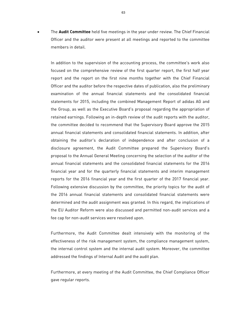The **Audit Committee** held five meetings in the year under review. The Chief Financial Officer and the auditor were present at all meetings and reported to the committee members in detail.

In addition to the supervision of the accounting process, the committee's work also focused on the comprehensive review of the first quarter report, the first half year report and the report on the first nine months together with the Chief Financial Officer and the auditor before the respective dates of publication, also the preliminary examination of the annual financial statements and the consolidated financial statements for 2015, including the combined Management Report of adidas AG and the Group, as well as the Executive Board's proposal regarding the appropriation of retained earnings. Following an in-depth review of the audit reports with the auditor, the committee decided to recommend that the Supervisory Board approve the 2015 annual financial statements and consolidated financial statements. In addition, after obtaining the auditor's declaration of independence and after conclusion of a disclosure agreement, the Audit Committee prepared the Supervisory Board's proposal to the Annual General Meeting concerning the selection of the auditor of the annual financial statements and the consolidated financial statements for the 2016 financial year and for the quarterly financial statements and interim management reports for the 2016 financial year and the first quarter of the 2017 financial year. Following extensive discussion by the committee, the priority topics for the audit of the 2016 annual financial statements and consolidated financial statements were determined and the audit assignment was granted. In this regard, the implications of the EU Auditor Reform were also discussed and permitted non-audit services and a fee cap for non-audit services were resolved upon.

Furthermore, the Audit Committee dealt intensively with the monitoring of the effectiveness of the risk management system, the compliance management system, the internal control system and the internal audit system. Moreover, the committee addressed the findings of Internal Audit and the audit plan.

Furthermore, at every meeting of the Audit Committee, the Chief Compliance Officer gave regular reports.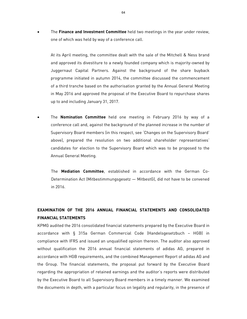The **Finance and Investment Committee** held two meetings in the year under review, one of which was held by way of a conference call.

At its April meeting, the committee dealt with the sale of the Mitchell & Ness brand and approved its divestiture to a newly founded company which is majority-owned by Juggernaut Capital Partners. Against the background of the share buyback programme initiated in autumn 2014, the committee discussed the commencement of a third tranche based on the authorisation granted by the Annual General Meeting in May 2016 and approved the proposal of the Executive Board to repurchase shares up to and including January 31, 2017.

 The **Nomination Committee** held one meeting in February 2016 by way of a conference call and, against the background of the planned increase in the number of Supervisory Board members (in this respect, see 'Changes on the Supervisory Board' above), prepared the resolution on two additional shareholder representatives' candidates for election to the Supervisory Board which was to be proposed to the Annual General Meeting.

The **Mediation Committee**, established in accordance with the German Co-Determination Act (Mitbestimmungsgesetz — MitbestG), did not have to be convened in 2016.

# **EXAMINATION OF THE 2016 ANNUAL FINANCIAL STATEMENTS AND CONSOLIDATED FINANCIAL STATEMENTS**

KPMG audited the 2016 consolidated financial statements prepared by the Executive Board in accordance with § 315a German Commercial Code (Handelsgesetzbuch – HGB) in compliance with IFRS and issued an unqualified opinion thereon. The auditor also approved without qualification the 2016 annual financial statements of adidas AG, prepared in accordance with HGB requirements, and the combined Management Report of adidas AG and the Group. The financial statements, the proposal put forward by the Executive Board regarding the appropriation of retained earnings and the auditor's reports were distributed by the Executive Board to all Supervisory Board members in a timely manner. We examined the documents in depth, with a particular focus on legality and regularity, in the presence of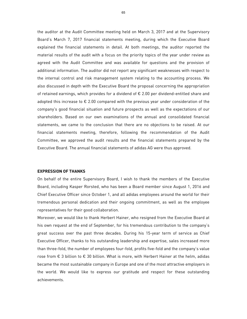the auditor at the Audit Committee meeting held on March 3, 2017 and at the Supervisory Board's March 7, 2017 financial statements meeting, during which the Executive Board explained the financial statements in detail. At both meetings, the auditor reported the material results of the audit with a focus on the priority topics of the year under review as agreed with the Audit Committee and was available for questions and the provision of additional information. The auditor did not report any significant weaknesses with respect to the internal control and risk management system relating to the accounting process. We also discussed in depth with the Executive Board the proposal concerning the appropriation of retained earnings, which provides for a dividend of € 2.00 per dividend-entitled share and adopted this increase to  $\epsilon$  2.00 compared with the previous year under consideration of the company's good financial situation and future prospects as well as the expectations of our shareholders. Based on our own examinations of the annual and consolidated financial statements, we came to the conclusion that there are no objections to be raised. At our financial statements meeting, therefore, following the recommendation of the Audit Committee, we approved the audit results and the financial statements prepared by the Executive Board. The annual financial statements of adidas AG were thus approved.

#### **EXPRESSION OF THANKS**

On behalf of the entire Supervisory Board, I wish to thank the members of the Executive Board, including Kasper Rorsted, who has been a Board member since August 1, 2016 and Chief Executive Officer since October 1, and all adidas employees around the world for their tremendous personal dedication and their ongoing commitment, as well as the employee representatives for their good collaboration.

Moreover, we would like to thank Herbert Hainer, who resigned from the Executive Board at his own request at the end of September, for his tremendous contribution to the company's great success over the past three decades. During his 15-year term of service as Chief Executive Officer, thanks to his outstanding leadership and expertise, sales increased more than three-fold, the number of employees four-fold, profits five-fold and the company's value rose from € 3 billion to € 30 billion. What is more, with Herbert Hainer at the helm, adidas became the most sustainable company in Europe and one of the most attractive employers in the world. We would like to express our gratitude and respect for these outstanding achievements.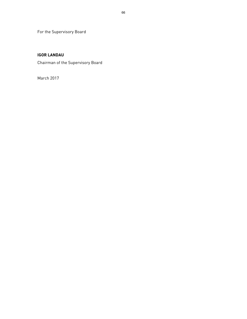For the Supervisory Board

# **IGOR LANDAU**

Chairman of the Supervisory Board

March 2017